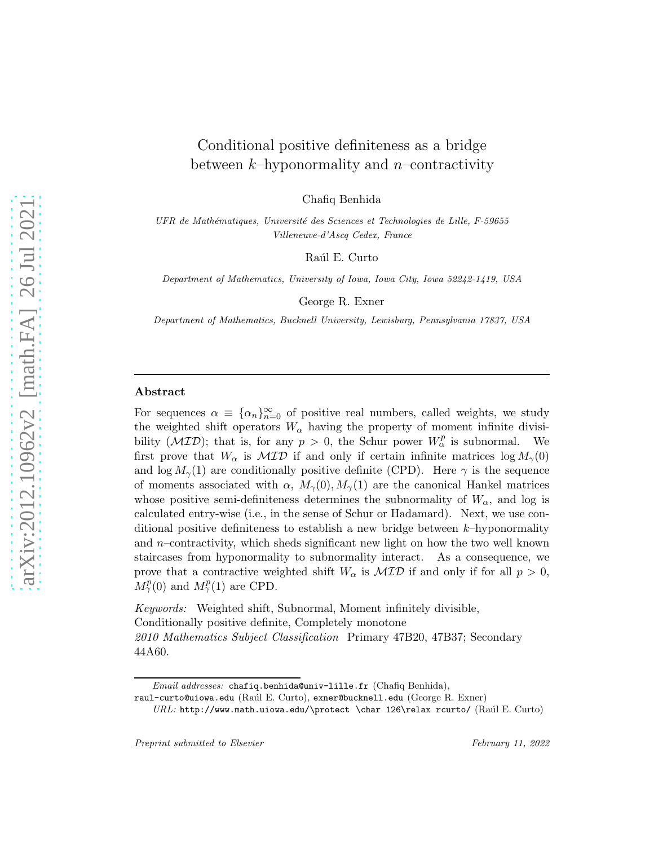# Conditional positive definiteness as a bridge between  $k$ -hyponormality and *n*-contractivity

Chafiq Benhida

UFR de Mathématiques, Université des Sciences et Technologies de Lille, F-59655 Villeneuve-d'Ascq Cedex, France

Raúl E. Curto

Department of Mathematics, University of Iowa, Iowa City, Iowa 52242-1419, USA

George R. Exner

Department of Mathematics, Bucknell University, Lewisburg, Pennsylvania 17837, USA

#### Abstract

For sequences  $\alpha \equiv {\alpha_n}_{n=0}^{\infty}$  of positive real numbers, called weights, we study the weighted shift operators  $W_{\alpha}$  having the property of moment infinite divisibility  $(\mathcal{MID})$ ; that is, for any  $p > 0$ , the Schur power  $W^p_\alpha$  is subnormal. We first prove that  $W_{\alpha}$  is  $\mathcal{MID}$  if and only if certain infinite matrices  $\log M_{\gamma}(0)$ and log  $M_{\gamma}(1)$  are conditionally positive definite (CPD). Here  $\gamma$  is the sequence of moments associated with  $\alpha$ ,  $M_{\gamma}(0), M_{\gamma}(1)$  are the canonical Hankel matrices whose positive semi-definiteness determines the subnormality of  $W_{\alpha}$ , and log is calculated entry-wise (i.e., in the sense of Schur or Hadamard). Next, we use conditional positive definiteness to establish a new bridge between  $k$ -hyponormality and  $n$ –contractivity, which sheds significant new light on how the two well known staircases from hyponormality to subnormality interact. As a consequence, we prove that a contractive weighted shift  $W_{\alpha}$  is  $\mathcal{MID}$  if and only if for all  $p > 0$ ,  $M_\gamma^p(0)$  and  $M_\gamma^p(1)$  are CPD.

Keywords: Weighted shift, Subnormal, Moment infinitely divisible, Conditionally positive definite, Completely monotone 2010 Mathematics Subject Classification Primary 47B20, 47B37; Secondary 44A60.

Email addresses: chafiq.benhida@univ-lille.fr (Chafiq Benhida),

raul-curto@uiowa.edu (Raúl E. Curto), exner@bucknell.edu (George R. Exner)

 $URL: \text{http://www.math.uiowa.edu/\protect\}char 126\relax\rcurto/ (Raúl E. Curto)$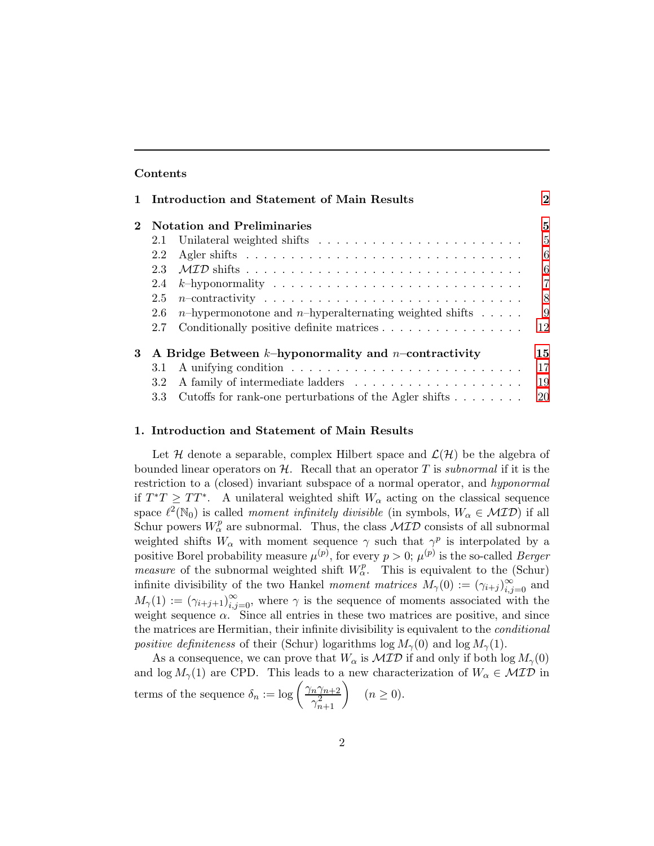### Contents

|                                                                      |     | Introduction and Statement of Main Results                                       | $\mathbf{2}$   |  |
|----------------------------------------------------------------------|-----|----------------------------------------------------------------------------------|----------------|--|
|                                                                      |     | <b>Notation and Preliminaries</b>                                                | 5              |  |
|                                                                      | 2.1 |                                                                                  | $\frac{5}{2}$  |  |
|                                                                      | 2.2 |                                                                                  | 6              |  |
|                                                                      | 2.3 |                                                                                  | 6              |  |
|                                                                      | 2.4 |                                                                                  | $\overline{7}$ |  |
|                                                                      | 2.5 |                                                                                  | 8              |  |
|                                                                      | 2.6 | <i>n</i> -hypermonotone and <i>n</i> -hyperalternating weighted shifts $\dots$ . | 9              |  |
|                                                                      | 2.7 | Conditionally positive definite matrices                                         | 12             |  |
| A Bridge Between $k$ -hyponormality and <i>n</i> -contractivity<br>3 |     |                                                                                  |                |  |
|                                                                      | 3.1 |                                                                                  | 17             |  |
|                                                                      | 3.2 |                                                                                  | 19             |  |
|                                                                      | 3.3 | Cutoffs for rank-one perturbations of the Agler shifts $\dots \dots$             | 20             |  |

#### <span id="page-1-0"></span>1. Introduction and Statement of Main Results

Let H denote a separable, complex Hilbert space and  $\mathcal{L}(\mathcal{H})$  be the algebra of bounded linear operators on  $H$ . Recall that an operator T is subnormal if it is the restriction to a (closed) invariant subspace of a normal operator, and hyponormal if  $T^*T \geq TT^*$ . A unilateral weighted shift  $W_\alpha$  acting on the classical sequence space  $\ell^2(\mathbb{N}_0)$  is called *moment infinitely divisible* (in symbols,  $W_\alpha \in \mathcal{MID}$ ) if all Schur powers  $W_{\alpha}^{p}$  are subnormal. Thus, the class  $\mathcal{MID}$  consists of all subnormal weighted shifts  $W_{\alpha}$  with moment sequence  $\gamma$  such that  $\gamma^{p}$  is interpolated by a positive Borel probability measure  $\mu^{(p)}$ , for every  $p > 0$ ;  $\mu^{(p)}$  is the so-called *Berger measure* of the subnormal weighted shift  $W_{\alpha}^{p}$ . This is equivalent to the (Schur) infinite divisibility of the two Hankel *moment matrices*  $M_{\gamma}(0) := (\gamma_{i+j})_{i,j=0}^{\infty}$  and  $M_{\gamma}(1) := (\gamma_{i+j+1})_{i,j=0}^{\infty}$ , where  $\gamma$  is the sequence of moments associated with the weight sequence  $\alpha$ . Since all entries in these two matrices are positive, and since the matrices are Hermitian, their infinite divisibility is equivalent to the *conditional* positive definiteness of their (Schur) logarithms log  $M_{\gamma}(0)$  and log  $M_{\gamma}(1)$ .

As a consequence, we can prove that  $W_{\alpha}$  is  $\mathcal{MID}$  if and only if both log  $M_{\gamma}(0)$ and  $\log M_{\gamma}(1)$  are CPD. This leads to a new characterization of  $W_{\alpha} \in \mathcal{MID}$  in terms of the sequence  $\delta_n := \log \left( \frac{\gamma_n \gamma_{n+2}}{2} \right)$  $\left(\frac{n\gamma_{n+2}}{\gamma_{n+1}^2}\right)$   $(n \ge 0).$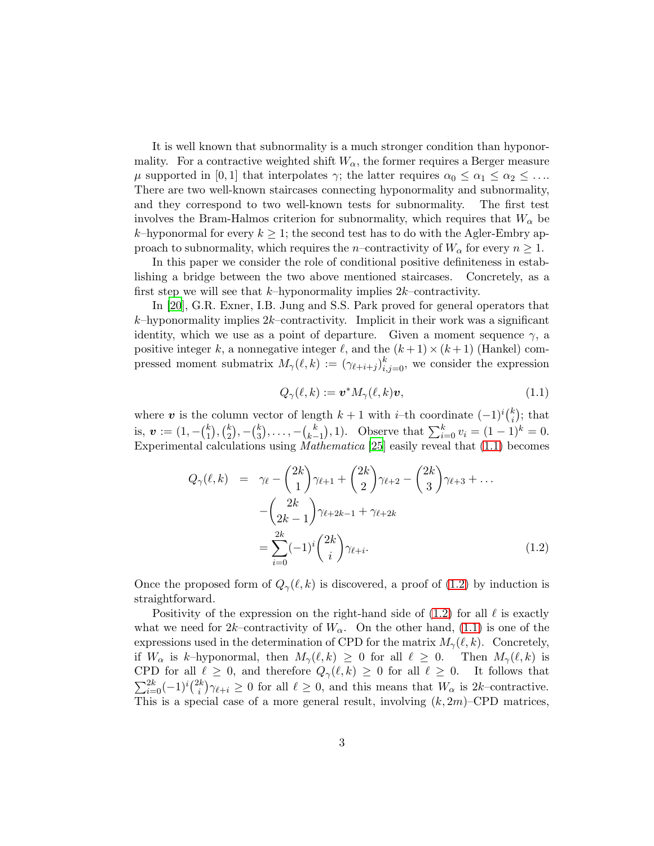It is well known that subnormality is a much stronger condition than hyponormality. For a contractive weighted shift  $W_{\alpha}$ , the former requires a Berger measure  $\mu$  supported in [0, 1] that interpolates  $\gamma$ ; the latter requires  $\alpha_0 \leq \alpha_1 \leq \alpha_2 \leq \ldots$ There are two well-known staircases connecting hyponormality and subnormality, and they correspond to two well-known tests for subnormality. The first test involves the Bram-Halmos criterion for subnormality, which requires that  $W_{\alpha}$  be k–hyponormal for every  $k \geq 1$ ; the second test has to do with the Agler-Embry approach to subnormality, which requires the n–contractivity of  $W_{\alpha}$  for every  $n \geq 1$ .

In this paper we consider the role of conditional positive definiteness in establishing a bridge between the two above mentioned staircases. Concretely, as a first step we will see that  $k$ -hyponormality implies  $2k$ -contractivity.

In [\[20](#page-26-0)], G.R. Exner, I.B. Jung and S.S. Park proved for general operators that  $k$ –hyponormality implies  $2k$ –contractivity. Implicit in their work was a significant identity, which we use as a point of departure. Given a moment sequence  $\gamma$ , a positive integer k, a nonnegative integer  $\ell$ , and the  $(k+1) \times (k+1)$  (Hankel) compressed moment submatrix  $M_{\gamma}(\ell, k) := (\gamma_{\ell+i+j})_{i,j=0}^k$ , we consider the expression

$$
Q_{\gamma}(\ell,k) := \mathbf{v}^* M_{\gamma}(\ell,k) \mathbf{v},\tag{1.1}
$$

<span id="page-2-0"></span>where v is the column vector of length  $k + 1$  with i–th coordinate  $(-1)^{i} {k \choose i}$  $\binom{k}{i}$ ; that is,  $\boldsymbol{v}:=(1,-\binom{k}{1}$  $\binom{k}{1}, \binom{k}{2}$  $_{2}^{k}),-(_{3}^{k}$  $\binom{k}{3}, \ldots, -\binom{k}{k-1}$  $\binom{k}{k-1}$ , 1). Observe that  $\sum_{i=0}^{k} v_i = (1-1)^k = 0$ . Experimental calculations using Mathematica [\[25\]](#page-26-1) easily reveal that [\(1.1\)](#page-2-0) becomes

<span id="page-2-1"></span>
$$
Q_{\gamma}(\ell, k) = \gamma_{\ell} - {2k \choose 1} \gamma_{\ell+1} + {2k \choose 2} \gamma_{\ell+2} - {2k \choose 3} \gamma_{\ell+3} + \dots - {2k \choose 2k-1} \gamma_{\ell+2k-1} + \gamma_{\ell+2k} = \sum_{i=0}^{2k} (-1)^{i} {2k \choose i} \gamma_{\ell+i}.
$$
 (1.2)

Once the proposed form of  $Q_{\gamma}(\ell, k)$  is discovered, a proof of [\(1.2\)](#page-2-1) by induction is straightforward.

Positivity of the expression on the right-hand side of  $(1.2)$  for all  $\ell$  is exactly what we need for 2k–contractivity of  $W_{\alpha}$ . On the other hand, [\(1.1\)](#page-2-0) is one of the expressions used in the determination of CPD for the matrix  $M_{\gamma}(\ell, k)$ . Concretely, if  $W_{\alpha}$  is k–hyponormal, then  $M_{\gamma}(\ell, k) \geq 0$  for all  $\ell \geq 0$ . Then  $M_{\gamma}(\ell, k)$  is CPD for all  $\ell \geq 0$ , and therefore  $Q_{\gamma}(\ell, k) \geq 0$  for all  $\ell \geq 0$ . It follows that  $\sum_{i=0}^{2k}(-1)^i\binom{2k}{i}$  $\psi_i^{(k)}\gamma_{\ell+i} \geq 0$  for all  $\ell \geq 0$ , and this means that  $W_\alpha$  is 2k–contractive. This is a special case of a more general result, involving  $(k, 2m)$ –CPD matrices,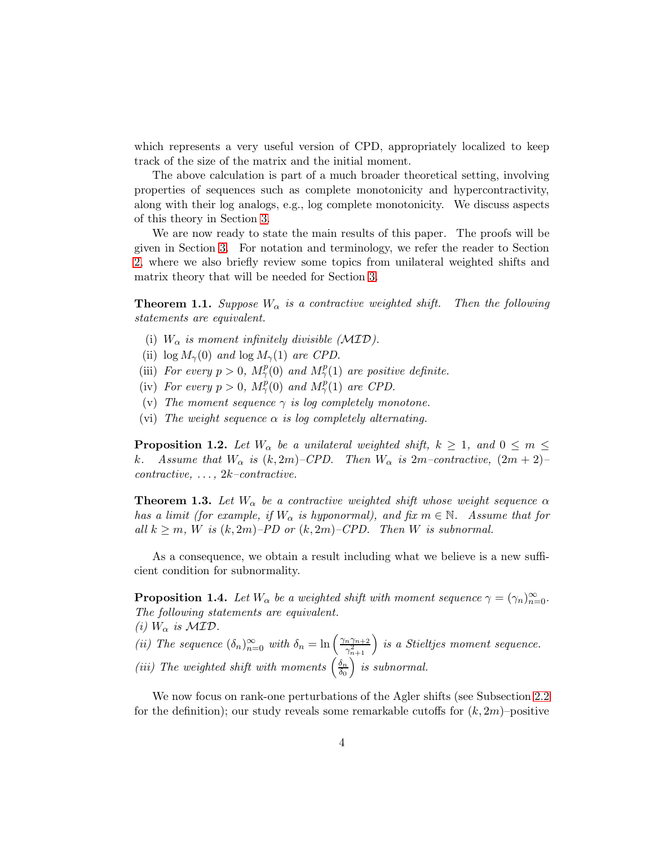which represents a very useful version of CPD, appropriately localized to keep track of the size of the matrix and the initial moment.

The above calculation is part of a much broader theoretical setting, involving properties of sequences such as complete monotonicity and hypercontractivity, along with their log analogs, e.g., log complete monotonicity. We discuss aspects of this theory in Section [3.](#page-14-0)

We are now ready to state the main results of this paper. The proofs will be given in Section [3.](#page-14-0) For notation and terminology, we refer the reader to Section [2,](#page-4-0) where we also briefly review some topics from unilateral weighted shifts and matrix theory that will be needed for Section [3.](#page-14-0)

**Theorem 1.1.** Suppose  $W_{\alpha}$  is a contractive weighted shift. Then the following statements are equivalent.

- (i)  $W_{\alpha}$  is moment infinitely divisible (MID).
- (ii)  $\log M_{\gamma}(0)$  and  $\log M_{\gamma}(1)$  are CPD.
- (iii) For every  $p > 0$ ,  $M_{\gamma}^p(0)$  and  $M_{\gamma}^p(1)$  are positive definite.
- (iv) For every  $p > 0$ ,  $M_{\gamma}^{p}(0)$  and  $M_{\gamma}^{p}(1)$  are CPD.
- (v) The moment sequence  $\gamma$  is log completely monotone.
- (vi) The weight sequence  $\alpha$  is log completely alternating.

**Proposition 1.2.** Let  $W_{\alpha}$  be a unilateral weighted shift,  $k \geq 1$ , and  $0 \leq m \leq$ k. Assume that  $W_{\alpha}$  is  $(k, 2m)$ –CPD. Then  $W_{\alpha}$  is  $2m$ –contractive,  $(2m + 2)$ –  $contractive, \ldots, 2k-contractive.$ 

**Theorem 1.3.** Let  $W_{\alpha}$  be a contractive weighted shift whose weight sequence  $\alpha$ has a limit (for example, if  $W_{\alpha}$  is hyponormal), and fix  $m \in \mathbb{N}$ . Assume that for all  $k \geq m$ , W is  $(k, 2m)$ –PD or  $(k, 2m)$ –CPD. Then W is subnormal.

As a consequence, we obtain a result including what we believe is a new sufficient condition for subnormality.

**Proposition 1.4.** Let  $W_{\alpha}$  be a weighted shift with moment sequence  $\gamma = (\gamma_n)_{n=0}^{\infty}$ . The following statements are equivalent. (i)  $W_{\alpha}$  is  $\mathcal{MID}$ .

(ii) The sequence  $(\delta_n)_{n=0}^{\infty}$  with  $\delta_n = \ln \left( \frac{\gamma_n \gamma_{n+2}}{\gamma_{n+1}^2} \right)$  $\gamma_{n+1}^2$  is a Stieltjes moment sequence. (iii) The weighted shift with moments  $\left(\frac{\delta_n}{\delta_0}\right)$  $\left(\frac{\delta_n}{\delta_0}\right)$  is subnormal.

We now focus on rank-one perturbations of the Agler shifts (see Subsection [2.2](#page-5-0) for the definition); our study reveals some remarkable cutoffs for  $(k, 2m)$ –positive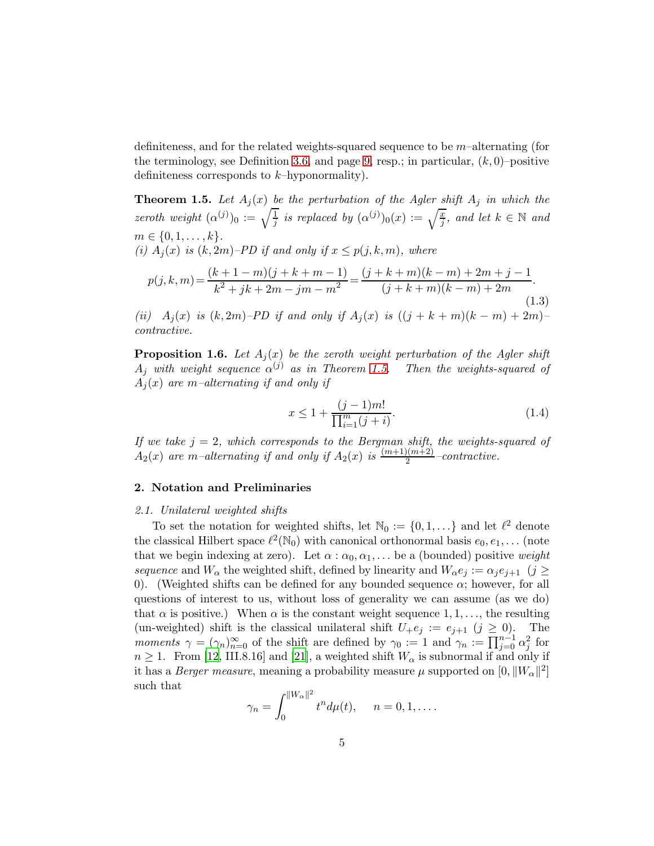definiteness, and for the related weights-squared sequence to be m–alternating (for the terminology, see Definition [3.6,](#page-17-0) and page [9,](#page-7-1) resp.; in particular,  $(k, 0)$ –positive definiteness corresponds to  $k$ -hyponormality).

<span id="page-4-2"></span>**Theorem 1.5.** Let  $A_j(x)$  be the perturbation of the Agler shift  $A_j$  in which the zeroth weight  $(\alpha^{(j)})_0 := \sqrt{\frac{1}{j}}$  is replaced by  $(\alpha^{(j)})_0(x) := \sqrt{\frac{x}{j}}$ , and let  $k \in \mathbb{N}$  and  $m \in \{0, 1, \ldots, k\}.$ (i)  $A_i(x)$  is  $(k, 2m)$ –PD if and only if  $x \leq p(j, k, m)$ , where  $p(j, k, m) = \frac{(k + 1 - m)(j + k + m - 1)}{2^{(j+1)} (j + k + m - 2)}$  $\frac{(k+1-m)(j+k+m-1)}{k^2+jk+2m-jm-m^2} = \frac{(j+k+m)(k-m)+2m+j-1}{(j+k+m)(k-m)+2m}$  $\frac{(j + k + m)(k - m) + 2m}{(j + k + m)(k - m) + 2m}$ . (1.3) (ii)  $A_j(x)$  is  $(k, 2m)$ –PD if and only if  $A_j(x)$  is  $((j + k + m)(k - m) + 2m)$ –

contractive. **Proposition 1.6.** Let  $A_i(x)$  be the zeroth weight perturbation of the Agler shift

 $A_j$  with weight sequence  $\alpha^{(j)}$  as in Theorem [1.5.](#page-4-2) Then the weights-squared of  $A_i(x)$  are m-alternating if and only if

$$
x \le 1 + \frac{(j-1)m!}{\prod_{i=1}^{m} (j+i)}.
$$
\n(1.4)

If we take  $j = 2$ , which corresponds to the Bergman shift, the weights-squared of  $A_2(x)$  are m-alternating if and only if  $A_2(x)$  is  $\frac{(m+1)(m+2)}{2}$ -contractive.

# <span id="page-4-1"></span><span id="page-4-0"></span>2. Notation and Preliminaries

# 2.1. Unilateral weighted shifts

To set the notation for weighted shifts, let  $\mathbb{N}_0 := \{0, 1, \ldots\}$  and let  $\ell^2$  denote the classical Hilbert space  $\ell^2(\mathbb{N}_0)$  with canonical orthonormal basis  $e_0, e_1, \ldots$  (note that we begin indexing at zero). Let  $\alpha : \alpha_0, \alpha_1, \ldots$  be a (bounded) positive weight sequence and  $W_{\alpha}$  the weighted shift, defined by linearity and  $W_{\alpha}e_i := \alpha_i e_{i+1}$  (j  $\geq$ 0). (Weighted shifts can be defined for any bounded sequence  $\alpha$ ; however, for all questions of interest to us, without loss of generality we can assume (as we do) that  $\alpha$  is positive.) When  $\alpha$  is the constant weight sequence 1, 1, ..., the resulting (un-weighted) shift is the classical unilateral shift  $U_+e_j := e_{j+1}$   $(j \geq 0)$ . The moments  $\gamma = (\gamma_n)_{n=0}^{\infty}$  of the shift are defined by  $\gamma_0 := 1$  and  $\gamma_n := \prod_{j=0}^{n-1} \alpha_j^2$  for  $n \geq 1$ . From [\[12,](#page-25-0) III.8.16] and [\[21](#page-26-2)], a weighted shift  $W_{\alpha}$  is subnormal if and only if it has a *Berger measure*, meaning a probability measure  $\mu$  supported on  $[0, ||W_{\alpha}||^2]$ such that 2

$$
\gamma_n = \int_0^{\|W_\alpha\|^2} t^n d\mu(t), \quad n = 0, 1, \dots.
$$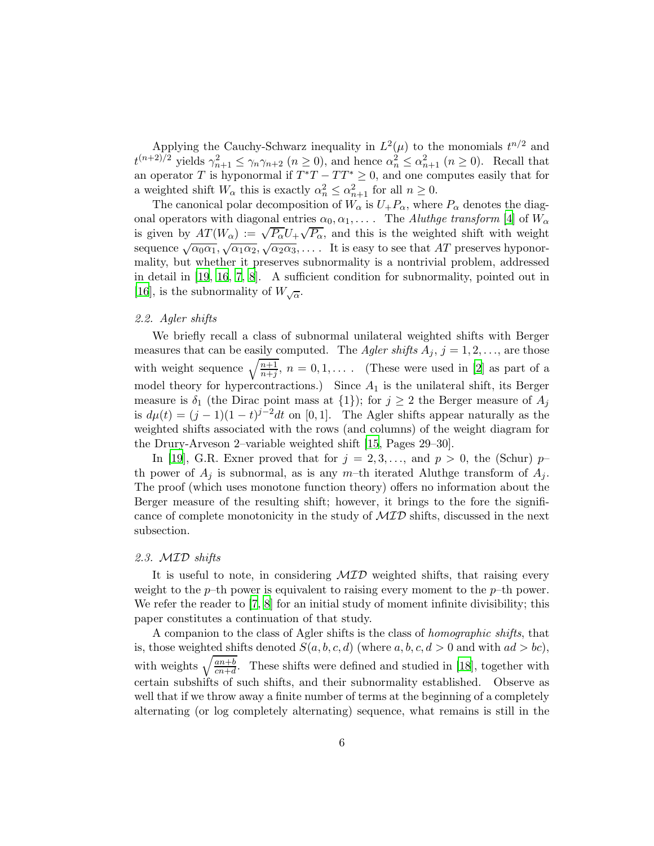Applying the Cauchy-Schwarz inequality in  $L^2(\mu)$  to the monomials  $t^{n/2}$  and  $t^{(n+2)/2}$  yields  $\gamma_{n+1}^2 \leq \gamma_n \gamma_{n+2}$   $(n \geq 0)$ , and hence  $\alpha_n^2 \leq \alpha_{n+1}^2$   $(n \geq 0)$ . Recall that an operator T is hyponormal if  $T^*T - TT^* \geq 0$ , and one computes easily that for a weighted shift  $W_{\alpha}$  this is exactly  $\alpha_n^2 \leq \alpha_{n+1}^2$  for all  $n \geq 0$ .

The canonical polar decomposition of  $W_{\alpha}$  is  $U_{+}P_{\alpha}$ , where  $P_{\alpha}$  denotes the diagonal operators with diagonal entries  $\alpha_0, \alpha_1, \ldots$ . The *Aluthge transform* [\[4\]](#page-25-1) of  $W_\alpha$ is given by  $AT(W_\alpha) := \sqrt{P_\alpha} U_+ \sqrt{P_\alpha}$ , and this is the weighted shift with weight sequence  $\sqrt{\alpha_0\alpha_1}$ ,  $\sqrt{\alpha_1\alpha_2}$ ,  $\sqrt{\alpha_2\alpha_3}$ , .... It is easy to see that AT preserves hyponormality, but whether it preserves subnormality is a nontrivial problem, addressed in detail in [\[19](#page-26-3), [16](#page-26-4), [7](#page-25-2), [8\]](#page-25-3). A sufficient condition for subnormality, pointed out in [\[16\]](#page-26-4), is the subnormality of  $W_{\sqrt{\alpha}}$ .

# <span id="page-5-0"></span>2.2. Agler shifts

We briefly recall a class of subnormal unilateral weighted shifts with Berger measures that can be easily computed. The *Agler shifts*  $A_j$ ,  $j = 1, 2, \ldots$ , are those with weight sequence  $\sqrt{\frac{n+1}{n+j}}$ ,  $n = 0, 1, \ldots$  (These were used in [\[2](#page-25-4)] as part of a model theory for hypercontractions.) Since  $A_1$  is the unilateral shift, its Berger measure is  $\delta_1$  (the Dirac point mass at  $\{1\}$ ); for  $j \geq 2$  the Berger measure of  $A_j$ is  $d\mu(t) = (j-1)(1-t)^{j-2}dt$  on [0, 1]. The Agler shifts appear naturally as the weighted shifts associated with the rows (and columns) of the weight diagram for the Drury-Arveson 2–variable weighted shift [\[15,](#page-25-5) Pages 29–30].

In [\[19](#page-26-3)], G.R. Exner proved that for  $j = 2, 3, \ldots$ , and  $p > 0$ , the (Schur)  $p$ th power of  $A_j$  is subnormal, as is any m-th iterated Aluthge transform of  $A_j$ . The proof (which uses monotone function theory) offers no information about the Berger measure of the resulting shift; however, it brings to the fore the significance of complete monotonicity in the study of  $\mathcal{MID}$  shifts, discussed in the next subsection.

#### <span id="page-5-1"></span>2.3. MID shifts

It is useful to note, in considering  $MID$  weighted shifts, that raising every weight to the  $p$ –th power is equivalent to raising every moment to the  $p$ –th power. We refer the reader to [\[7](#page-25-2), [8\]](#page-25-3) for an initial study of moment infinite divisibility; this paper constitutes a continuation of that study.

A companion to the class of Agler shifts is the class of homographic shifts, that is, those weighted shifts denoted  $S(a, b, c, d)$  (where  $a, b, c, d > 0$  and with  $ad > bc$ ), with weights  $\sqrt{\frac{an+b}{cn+d}}$ . These shifts were defined and studied in [\[18](#page-26-5)], together with certain subshifts of such shifts, and their subnormality established. Observe as well that if we throw away a finite number of terms at the beginning of a completely alternating (or log completely alternating) sequence, what remains is still in the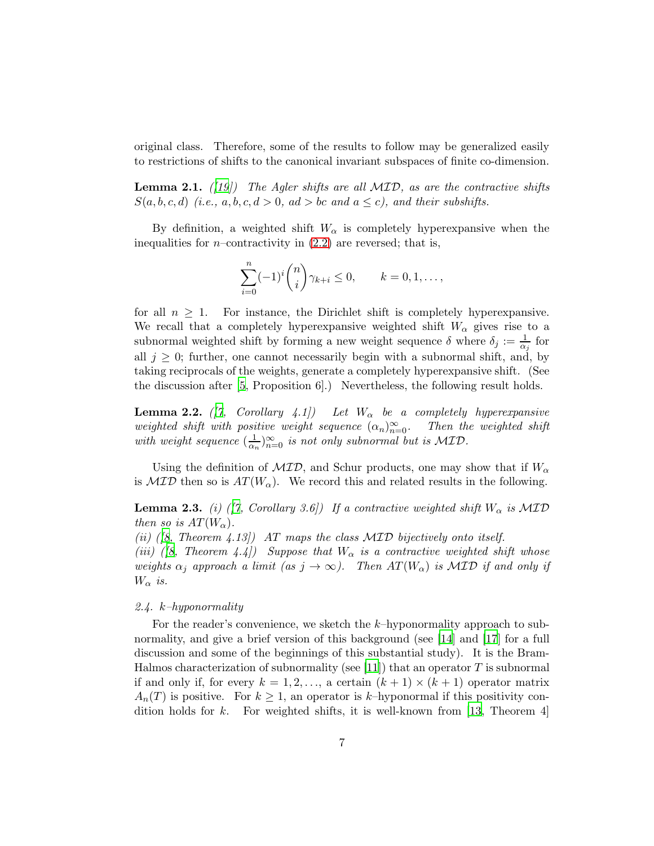original class. Therefore, some of the results to follow may be generalized easily to restrictions of shifts to the canonical invariant subspaces of finite co-dimension.

**Lemma 2.1.** ([\[19](#page-26-3)]) The Agler shifts are all  $MID$ , as are the contractive shifts  $S(a, b, c, d)$  (i.e.,  $a, b, c, d > 0$ ,  $ad > bc$  and  $a \leq c$ ), and their subshifts.

By definition, a weighted shift  $W_{\alpha}$  is completely hyperexpansive when the inequalities for *n*–contractivity in  $(2.2)$  are reversed; that is,

$$
\sum_{i=0}^{n} (-1)^{i} {n \choose i} \gamma_{k+i} \le 0, \qquad k = 0, 1, \dots,
$$

for all  $n \geq 1$ . For instance, the Dirichlet shift is completely hyperexpansive. We recall that a completely hyperexpansive weighted shift  $W_{\alpha}$  gives rise to a subnormal weighted shift by forming a new weight sequence  $\delta$  where  $\delta_j := \frac{1}{\alpha_j}$  for all  $j \geq 0$ ; further, one cannot necessarily begin with a subnormal shift, and, by taking reciprocals of the weights, generate a completely hyperexpansive shift. (See the discussion after [\[5,](#page-25-6) Proposition 6].) Nevertheless, the following result holds.

<span id="page-6-1"></span>**Lemma 2.2.** ([\[7,](#page-25-2) Corollary 4.1]) Let  $W_{\alpha}$  be a completely hyperexpansive weighted shift with positive weight sequence  $(\alpha_n)_{n=0}^{\infty}$ . Then the weighted shift with weight sequence  $\left(\frac{1}{\alpha}\right)$  $\frac{1}{\alpha_n}\big)_{n=0}^{\infty}$  is not only subnormal but is MID.

Using the definition of  $\mathcal{MID}$ , and Schur products, one may show that if  $W_{\alpha}$ is  $\mathcal{MID}$  then so is  $AT(W_\alpha)$ . We record this and related results in the following.

**Lemma 2.3.** (i) ([\[7,](#page-25-2) Corollary 3.6]) If a contractive weighted shift  $W_{\alpha}$  is  $MTD$ then so is  $AT(W_\alpha)$ .

(ii) ([\[8,](#page-25-3) Theorem 4.13]) AT maps the class MID bijectively onto itself.

(iii) ([\[8](#page-25-3), Theorem 4.4]) Suppose that  $W_{\alpha}$  is a contractive weighted shift whose weights  $\alpha_j$  approach a limit (as  $j \to \infty$ ). Then  $AT(W_\alpha)$  is  $MTD$  if and only if  $W_{\alpha}$  is.

### <span id="page-6-0"></span>2.4. k–hyponormality

For the reader's convenience, we sketch the k–hyponormality approach to subnormality, and give a brief version of this background (see [\[14](#page-25-7)] and [\[17\]](#page-26-6) for a full discussion and some of the beginnings of this substantial study). It is the Bram-Halmos characterization of subnormality (see [\[11](#page-25-8)]) that an operator T is subnormal if and only if, for every  $k = 1, 2, \ldots$ , a certain  $(k + 1) \times (k + 1)$  operator matrix  $A_n(T)$  is positive. For  $k \geq 1$ , an operator is k-hyponormal if this positivity condition holds for  $k$ . For weighted shifts, it is well-known from [\[13,](#page-25-9) Theorem 4]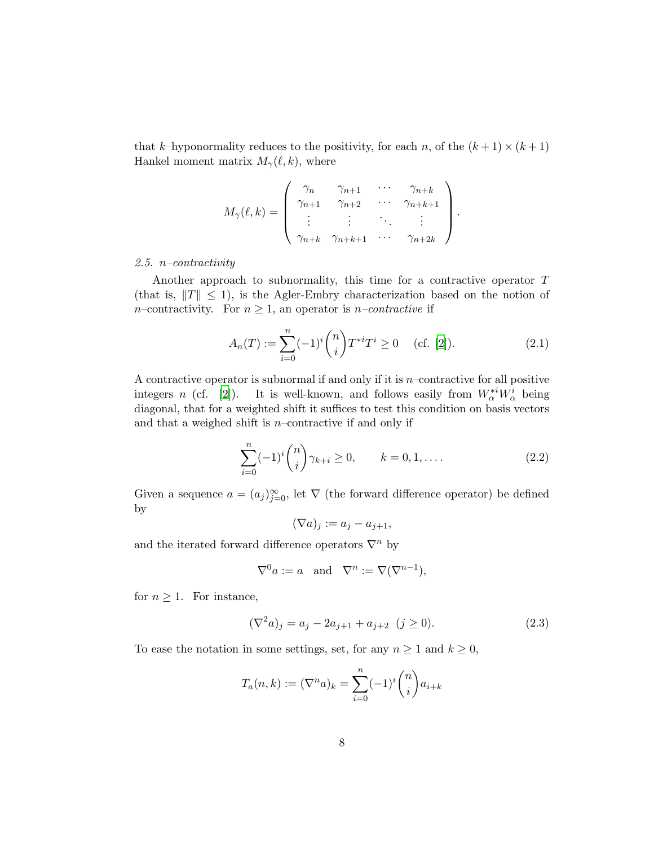that k–hyponormality reduces to the positivity, for each n, of the  $(k+1) \times (k+1)$ Hankel moment matrix  $M_{\gamma}(\ell, k)$ , where

$$
M_{\gamma}(\ell,k) = \begin{pmatrix} \gamma_n & \gamma_{n+1} & \cdots & \gamma_{n+k} \\ \gamma_{n+1} & \gamma_{n+2} & \cdots & \gamma_{n+k+1} \\ \vdots & \vdots & \ddots & \vdots \\ \gamma_{n+k} & \gamma_{n+k+1} & \cdots & \gamma_{n+2k} \end{pmatrix}
$$

#### <span id="page-7-0"></span>2.5.  $n$ -contractivity

Another approach to subnormality, this time for a contractive operator T (that is,  $||T|| \le 1$ ), is the Agler-Embry characterization based on the notion of *n*–contractivity. For  $n \geq 1$ , an operator is *n*–*contractive* if

$$
A_n(T) := \sum_{i=0}^n (-1)^i \binom{n}{i} T^{*i} T^i \ge 0 \quad \text{(cf. [2]).} \tag{2.1}
$$

.

A contractive operator is subnormal if and only if it is  $n$ -contractive for all positive integers n (cf. [\[2\]](#page-25-4)). It is well-known, and follows easily from  $W_{\alpha}^{*i}W_{\alpha}^{i}$  being diagonal, that for a weighted shift it suffices to test this condition on basis vectors and that a weighed shift is  $n$ –contractive if and only if

$$
\sum_{i=0}^{n} (-1)^{i} {n \choose i} \gamma_{k+i} \ge 0, \qquad k = 0, 1, .... \qquad (2.2)
$$

Given a sequence  $a = (a_j)_{j=0}^{\infty}$ , let  $\nabla$  (the forward difference operator) be defined by

<span id="page-7-2"></span>
$$
(\nabla a)_j := a_j - a_{j+1},
$$

and the iterated forward difference operators  $\nabla^n$  by

<span id="page-7-1"></span>
$$
\nabla^0 a := a \quad \text{and} \quad \nabla^n := \nabla(\nabla^{n-1}),
$$

for  $n \geq 1$ . For instance,

$$
(\nabla^2 a)_j = a_j - 2a_{j+1} + a_{j+2} \quad (j \ge 0). \tag{2.3}
$$

To ease the notation in some settings, set, for any  $n \geq 1$  and  $k \geq 0$ ,

$$
T_a(n,k) := (\nabla^n a)_k = \sum_{i=0}^n (-1)^i \binom{n}{i} a_{i+k}
$$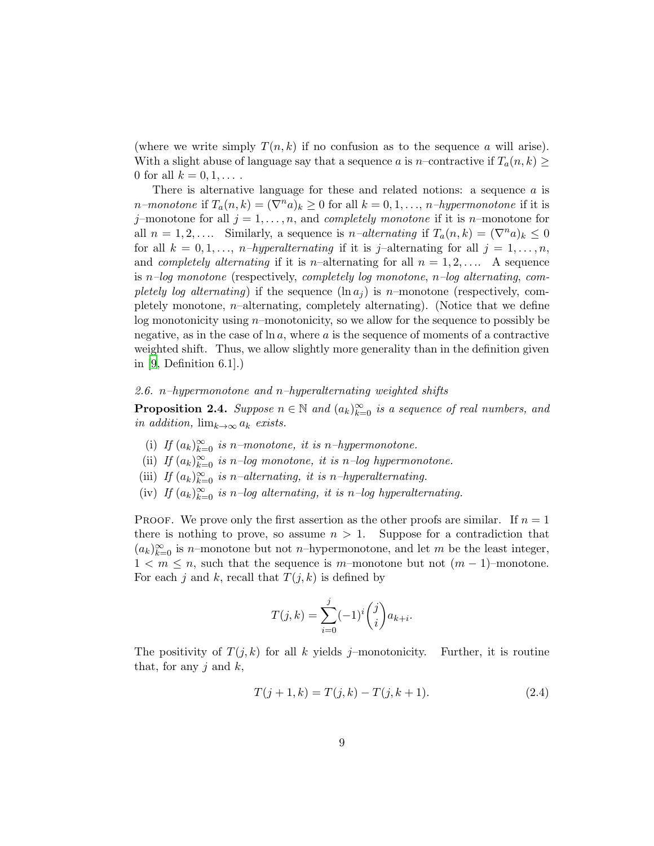(where we write simply  $T(n, k)$  if no confusion as to the sequence a will arise). With a slight abuse of language say that a sequence a is n–contractive if  $T_a(n, k) \geq$ 0 for all  $k = 0, 1, ...$ 

There is alternative language for these and related notions: a sequence a is *n*–monotone if  $T_a(n, k) = (\nabla^n a)_k \geq 0$  for all  $k = 0, 1, ..., n$ –hypermonotone if it is j–monotone for all  $j = 1, \ldots, n$ , and *completely monotone* if it is *n*–monotone for all  $n = 1, 2, \ldots$  Similarly, a sequence is  $n$ -alternating if  $T_a(n, k) = (\nabla^n a)_k \leq 0$ for all  $k = 0, 1, \ldots, n-hyperalternating$  if it is j-alternating for all  $j = 1, \ldots, n$ , and *completely alternating* if it is *n*-alternating for all  $n = 1, 2, \ldots$ . A sequence is n–log monotone (respectively, completely log monotone,  $n$ –log alternating, completely log alternating) if the sequence  $(\ln a_i)$  is n–monotone (respectively, completely monotone,  $n$ –alternating, completely alternating). (Notice that we define log monotonicity using n–monotonicity, so we allow for the sequence to possibly be negative, as in the case of  $\ln a$ , where a is the sequence of moments of a contractive weighted shift. Thus, we allow slightly more generality than in the definition given in  $[9,$  Definition 6.1.])

#### <span id="page-8-0"></span>2.6. n–hypermonotone and n–hyperalternating weighted shifts

**Proposition 2.4.** Suppose  $n \in \mathbb{N}$  and  $(a_k)_{k=0}^{\infty}$  is a sequence of real numbers, and in addition,  $\lim_{k\to\infty} a_k$  exists.

- (i) If  $(a_k)_{k=0}^{\infty}$  is n–monotone, it is n–hypermonotone.
- (ii) If  $(a_k)_{k=0}^{\infty}$  is n-log monotone, it is n-log hypermonotone.
- (iii) If  $(a_k)_{k=0}^{\infty}$  is n–alternating, it is n–hyperalternating.
- (iv) If  $(a_k)_{k=0}^{\infty}$  is n-log alternating, it is n-log hyperalternating.

PROOF. We prove only the first assertion as the other proofs are similar. If  $n = 1$ there is nothing to prove, so assume  $n > 1$ . Suppose for a contradiction that  $(a_k)_{k=0}^{\infty}$  is n–monotone but not n–hypermonotone, and let m be the least integer,  $1 < m \leq n$ , such that the sequence is m–monotone but not  $(m-1)$ –monotone. For each j and k, recall that  $T(j, k)$  is defined by

$$
T(j,k) = \sum_{i=0}^{j} (-1)^{i} {j \choose i} a_{k+i}.
$$

The positivity of  $T(j,k)$  for all k yields j–monotonicity. Further, it is routine that, for any j and  $k$ ,

$$
T(j+1,k) = T(j,k) - T(j,k+1).
$$
 (2.4)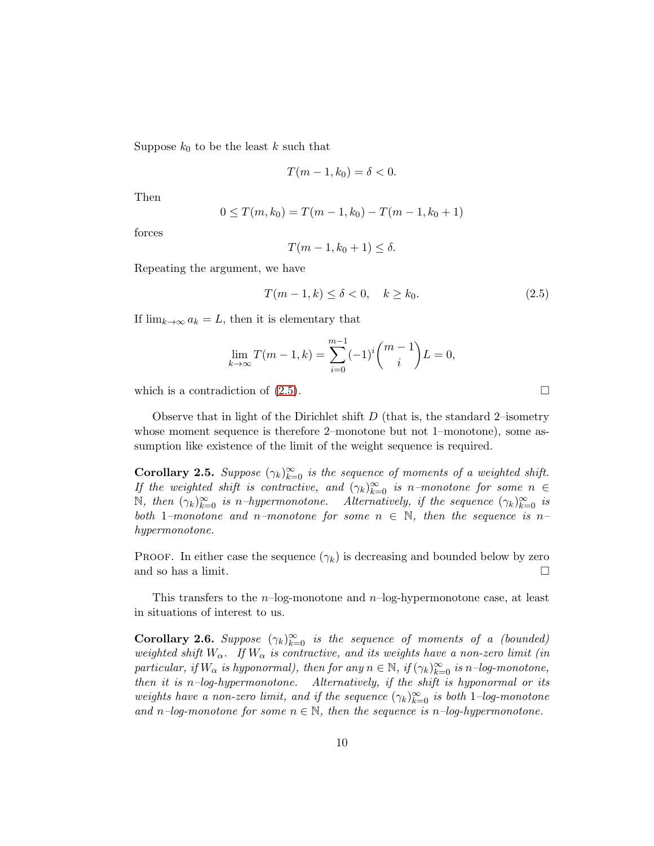Suppose  $k_0$  to be the least k such that

$$
T(m-1,k_0)=\delta<0.
$$

Then

$$
0 \le T(m, k_0) = T(m - 1, k_0) - T(m - 1, k_0 + 1)
$$

forces

<span id="page-9-0"></span>
$$
T(m-1,k_0+1)\leq \delta.
$$

Repeating the argument, we have

$$
T(m-1,k) \le \delta < 0, \quad k \ge k_0. \tag{2.5}
$$

If  $\lim_{k\to\infty} a_k = L$ , then it is elementary that

$$
\lim_{k \to \infty} T(m-1, k) = \sum_{i=0}^{m-1} (-1)^i \binom{m-1}{i} L = 0,
$$

which is a contradiction of  $(2.5)$ .

Observe that in light of the Dirichlet shift  $D$  (that is, the standard 2–isometry whose moment sequence is therefore 2–monotone but not 1–monotone), some assumption like existence of the limit of the weight sequence is required.

<span id="page-9-2"></span>**Corollary 2.5.** Suppose  $(\gamma_k)_{k=0}^{\infty}$  is the sequence of moments of a weighted shift. If the weighted shift is contractive, and  $(\gamma_k)_{k=0}^{\infty}$  is n–monotone for some  $n \in$ N, then  $(\gamma_k)_{k=0}^{\infty}$  is n-hypermonotone. Alternatively, if the sequence  $(\gamma_k)_{k=0}^{\infty}$  is both 1–monotone and n–monotone for some  $n \in \mathbb{N}$ , then the sequence is n– hypermonotone.

PROOF. In either case the sequence  $(\gamma_k)$  is decreasing and bounded below by zero and so has a limit.

<span id="page-9-1"></span>This transfers to the  $n$ -log-monotone and  $n$ -log-hypermonotone case, at least in situations of interest to us.

**Corollary 2.6.** Suppose  $(\gamma_k)_{k=0}^{\infty}$  is the sequence of moments of a (bounded) weighted shift  $W_{\alpha}$ . If  $W_{\alpha}$  is contractive, and its weights have a non-zero limit (in particular, if  $W_{\alpha}$  is hyponormal), then for any  $n \in \mathbb{N}$ , if  $(\gamma_k)_{k=0}^{\infty}$  is  $n$ -log-monotone, then it is n–log-hypermonotone. Alternatively, if the shift is hyponormal or its weights have a non-zero limit, and if the sequence  $(\gamma_k)_{k=0}^{\infty}$  is both 1-log-monotone and n–log-monotone for some  $n \in \mathbb{N}$ , then the sequence is n–log-hypermonotone.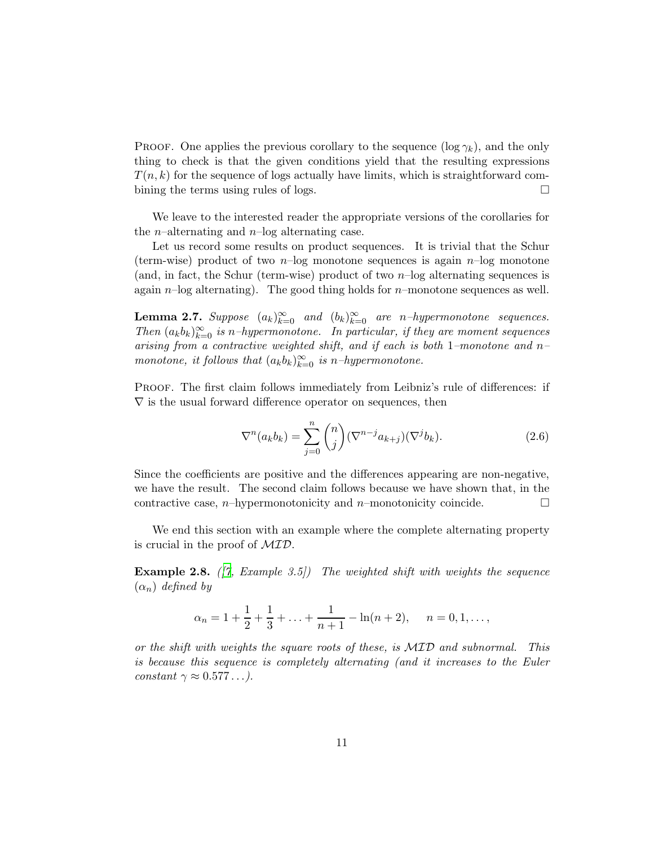PROOF. One applies the previous corollary to the sequence  $(\log \gamma_k)$ , and the only thing to check is that the given conditions yield that the resulting expressions  $T(n, k)$  for the sequence of logs actually have limits, which is straightforward combining the terms using rules of logs.  $\square$ 

We leave to the interested reader the appropriate versions of the corollaries for the *n*–alternating and *n*–log alternating case.

Let us record some results on product sequences. It is trivial that the Schur (term-wise) product of two  $n$ -log monotone sequences is again  $n$ -log monotone (and, in fact, the Schur (term-wise) product of two  $n$ -log alternating sequences is again  $n$ -log alternating). The good thing holds for  $n$ -monotone sequences as well.

**Lemma 2.7.** Suppose  $(a_k)_{k=0}^{\infty}$  and  $(b_k)_{k=0}^{\infty}$  are n-hypermonotone sequences. Then  $(a_k b_k)_{k=0}^{\infty}$  is n–hypermonotone. In particular, if they are moment sequences arising from a contractive weighted shift, and if each is both 1–monotone and n– monotone, it follows that  $(a_k b_k)_{k=0}^{\infty}$  is n-hypermonotone.

PROOF. The first claim follows immediately from Leibniz's rule of differences: if  $\nabla$  is the usual forward difference operator on sequences, then

$$
\nabla^n(a_k b_k) = \sum_{j=0}^n \binom{n}{j} (\nabla^{n-j} a_{k+j}) (\nabla^j b_k).
$$
 (2.6)

Since the coefficients are positive and the differences appearing are non-negative, we have the result. The second claim follows because we have shown that, in the contractive case, *n*–hypermonotonicity and *n*–monotonicity coincide.  $\Box$ 

We end this section with an example where the complete alternating property is crucial in the proof of MID.

**Example 2.8.** ( $\begin{bmatrix} 7 \\ 7 \end{bmatrix}$ , Example 3.5) The weighted shift with weights the sequence  $(\alpha_n)$  defined by

$$
\alpha_n = 1 + \frac{1}{2} + \frac{1}{3} + \ldots + \frac{1}{n+1} - \ln(n+2), \quad n = 0, 1, \ldots,
$$

or the shift with weights the square roots of these, is  $MTD$  and subnormal. This is because this sequence is completely alternating (and it increases to the Euler constant  $\gamma \approx 0.577...$ ).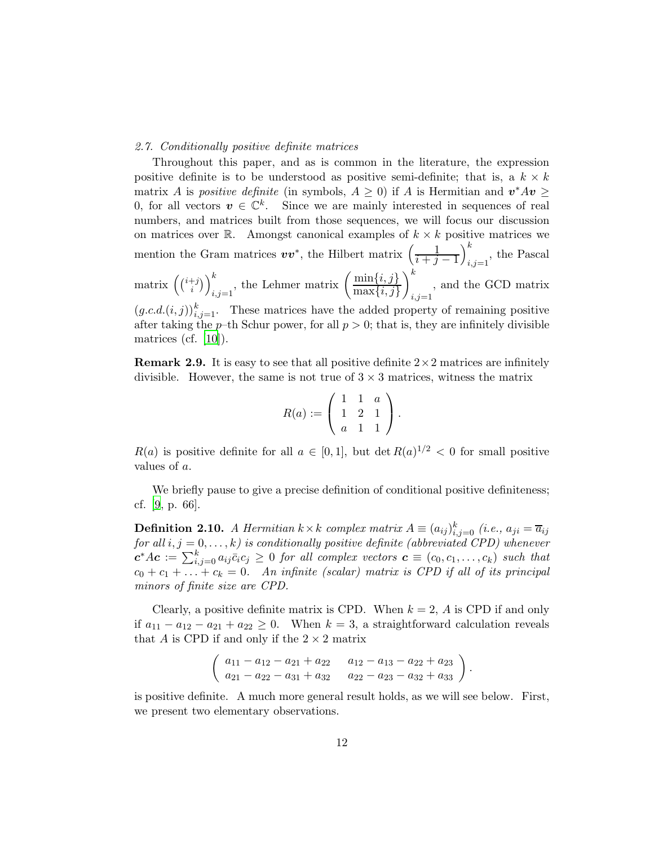#### <span id="page-11-0"></span>2.7. Conditionally positive definite matrices

Throughout this paper, and as is common in the literature, the expression positive definite is to be understood as positive semi-definite; that is, a  $k \times k$ matrix A is *positive definite* (in symbols,  $A \geq 0$ ) if A is Hermitian and  $v^*Av \geq 0$ 0, for all vectors  $v \in \mathbb{C}^k$ . Since we are mainly interested in sequences of real numbers, and matrices built from those sequences, we will focus our discussion on matrices over  $\mathbb{R}$ . Amongst canonical examples of  $k \times k$  positive matrices we mention the Gram matrices  $vv^*$ , the Hilbert matrix  $\left(\frac{1}{i+1}\right)$  $i+j-1$  $\setminus^k$  $_{i,j=1}$ , the Pascal matrix  $\left(\binom{i+j}{i}\right)$  $\binom{t+j}{i}\}_{i,j=1}^k$ , the Lehmer matrix  $\left(\frac{\min\{i,j\}}{\max\{i,j\}}\right)$  $\max\{i, j\}$  $\setminus^k$  $i,j=1$ , and the GCD matrix  $(g.c.d.(i, j))_{i,j=1}^k$ . These matrices have the added property of remaining positive after taking the p–th Schur power, for all  $p > 0$ ; that is, they are infinitely divisible matrices (cf. [\[10\]](#page-25-11)).

**Remark 2.9.** It is easy to see that all positive definite  $2 \times 2$  matrices are infinitely divisible. However, the same is not true of  $3 \times 3$  matrices, witness the matrix

$$
R(a) := \left( \begin{array}{rrr} 1 & 1 & a \\ 1 & 2 & 1 \\ a & 1 & 1 \end{array} \right).
$$

 $R(a)$  is positive definite for all  $a \in [0,1]$ , but  $\det R(a)^{1/2} < 0$  for small positive values of a.

We briefly pause to give a precise definition of conditional positive definiteness; cf. [\[9](#page-25-10), p. 66].

**Definition 2.10.** A Hermitian  $k \times k$  complex matrix  $A = (a_{ij})_{i,j=0}^k$  (i.e.,  $a_{ji} = \overline{a}_{ij}$ for all  $i, j = 0, \ldots, k$ ) is conditionally positive definite (abbreviated CPD) whenever  $c^*Ac := \sum_{i,j=0}^k a_{ij}\bar{c}_ic_j \geq 0$  for all complex vectors  $c \equiv (c_0,c_1,\ldots,c_k)$  such that  $c_0 + c_1 + \ldots + c_k = 0$ . An infinite (scalar) matrix is CPD if all of its principal minors of finite size are CPD.

Clearly, a positive definite matrix is CPD. When  $k = 2$ , A is CPD if and only if  $a_{11} - a_{12} - a_{21} + a_{22} \ge 0$ . When  $k = 3$ , a straightforward calculation reveals that A is CPD if and only if the  $2 \times 2$  matrix

$$
\left(\n\begin{array}{l}\na_{11} - a_{12} - a_{21} + a_{22} & a_{12} - a_{13} - a_{22} + a_{23} \\
a_{21} - a_{22} - a_{31} + a_{32} & a_{22} - a_{23} - a_{32} + a_{33}\n\end{array}\n\right)
$$

.

is positive definite. A much more general result holds, as we will see below. First, we present two elementary observations.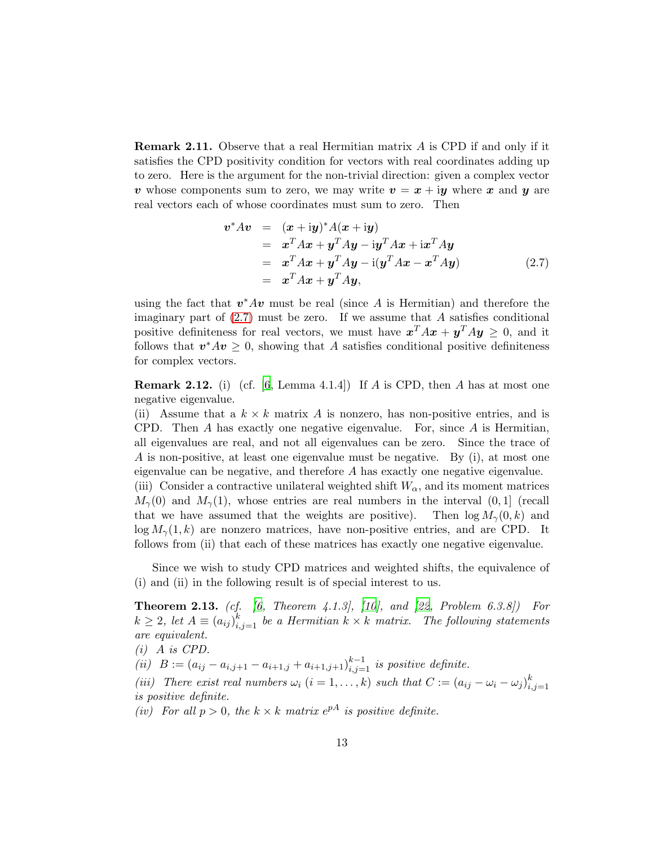**Remark 2.11.** Observe that a real Hermitian matrix A is CPD if and only if it satisfies the CPD positivity condition for vectors with real coordinates adding up to zero. Here is the argument for the non-trivial direction: given a complex vector v whose components sum to zero, we may write  $v = x + iy$  where x and y are real vectors each of whose coordinates must sum to zero. Then

<span id="page-12-0"></span>
$$
\begin{array}{rcl}\n\boldsymbol{v}^* A \boldsymbol{v} & = & (\boldsymbol{x} + \mathrm{i} \boldsymbol{y})^* A (\boldsymbol{x} + \mathrm{i} \boldsymbol{y}) \\
& = & \boldsymbol{x}^T A \boldsymbol{x} + \boldsymbol{y}^T A \boldsymbol{y} - \mathrm{i} \boldsymbol{y}^T A \boldsymbol{x} + \mathrm{i} \boldsymbol{x}^T A \boldsymbol{y} \\
& = & \boldsymbol{x}^T A \boldsymbol{x} + \boldsymbol{y}^T A \boldsymbol{y} - \mathrm{i} (\boldsymbol{y}^T A \boldsymbol{x} - \boldsymbol{x}^T A \boldsymbol{y}) \\
& = & \boldsymbol{x}^T A \boldsymbol{x} + \boldsymbol{y}^T A \boldsymbol{y},\n\end{array} \tag{2.7}
$$

using the fact that  $v^*Av$  must be real (since A is Hermitian) and therefore the imaginary part of  $(2.7)$  must be zero. If we assume that A satisfies conditional positive definiteness for real vectors, we must have  $x^T A x + y^T A y \geq 0$ , and it follows that  $v^*Av \geq 0$ , showing that A satisfies conditional positive definiteness for complex vectors.

**Remark 2.12.** (i) (cf. [\[6](#page-25-12), Lemma 4.1.4]) If A is CPD, then A has at most one negative eigenvalue.

(ii) Assume that a  $k \times k$  matrix A is nonzero, has non-positive entries, and is CPD. Then A has exactly one negative eigenvalue. For, since A is Hermitian, all eigenvalues are real, and not all eigenvalues can be zero. Since the trace of A is non-positive, at least one eigenvalue must be negative. By (i), at most one eigenvalue can be negative, and therefore A has exactly one negative eigenvalue. (iii) Consider a contractive unilateral weighted shift  $W_{\alpha}$ , and its moment matrices

 $M_{\gamma}(0)$  and  $M_{\gamma}(1)$ , whose entries are real numbers in the interval  $(0, 1]$  (recall that we have assumed that the weights are positive). Then  $\log M_{\gamma}(0, k)$  and  $\log M_{\gamma}(1, k)$  are nonzero matrices, have non-positive entries, and are CPD. It follows from (ii) that each of these matrices has exactly one negative eigenvalue.

<span id="page-12-1"></span>Since we wish to study CPD matrices and weighted shifts, the equivalence of (i) and (ii) in the following result is of special interest to us.

**Theorem 2.13.** (cf.  $[6, Theorem 4.1.3], [10], and [22, Problem 6.3.8])$  $[6, Theorem 4.1.3], [10], and [22, Problem 6.3.8])$  $[6, Theorem 4.1.3], [10], and [22, Problem 6.3.8])$  $[6, Theorem 4.1.3], [10], and [22, Problem 6.3.8])$  $[6, Theorem 4.1.3], [10], and [22, Problem 6.3.8])$  For  $k \geq 2$ , let  $A \equiv (a_{ij})_{i,j=1}^k$  be a Hermitian  $k \times k$  matrix. The following statements are equivalent.

 $(i)$  A is CPD.

(ii)  $B := (a_{ij} - a_{i,j+1} - a_{i+1,j} + a_{i+1,j+1})_{i,j=1}^{k-1}$  is positive definite.

(iii) There exist real numbers  $\omega_i$   $(i = 1, ..., k)$  such that  $C := (a_{ij} - \omega_i - \omega_j)_{i,j}^k$  $i,j=1$ is positive definite.

<span id="page-12-2"></span>(iv) For all  $p > 0$ , the  $k \times k$  matrix  $e^{pA}$  is positive definite.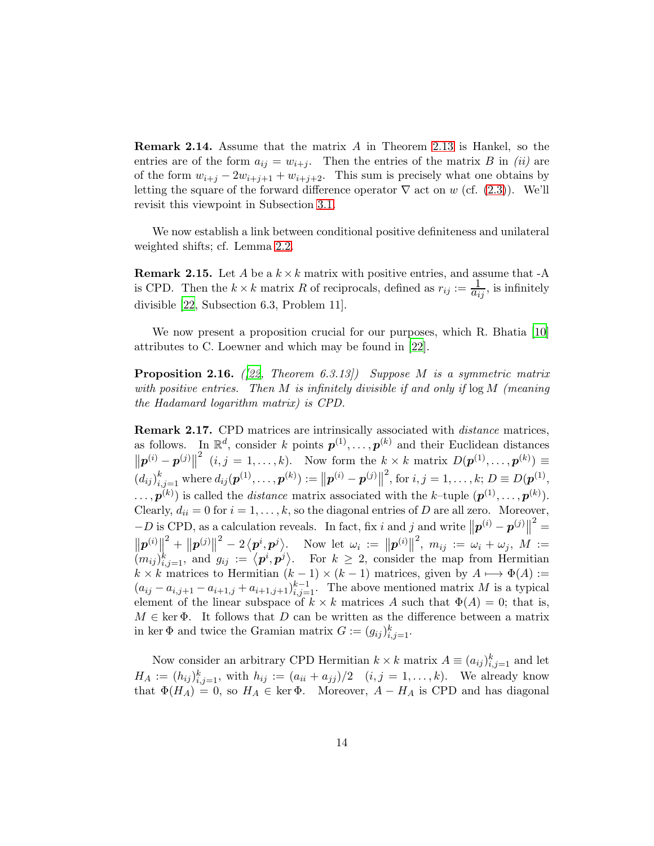**Remark 2.14.** Assume that the matrix  $A$  in Theorem [2.13](#page-12-1) is Hankel, so the entries are of the form  $a_{ij} = w_{i+j}$ . Then the entries of the matrix B in (ii) are of the form  $w_{i+j} - 2w_{i+j+1} + w_{i+j+2}$ . This sum is precisely what one obtains by letting the square of the forward difference operator  $\nabla$  act on w (cf. [\(2.3\)](#page-7-1)). We'll revisit this viewpoint in Subsection [3.1.](#page-16-0)

We now establish a link between conditional positive definiteness and unilateral weighted shifts; cf. Lemma [2.2.](#page-6-1)

**Remark 2.15.** Let A be a  $k \times k$  matrix with positive entries, and assume that -A is CPD. Then the  $k \times k$  matrix R of reciprocals, defined as  $r_{ij} := \frac{1}{a_{ij}}$ , is infinitely divisible [\[22](#page-26-7), Subsection 6.3, Problem 11].

<span id="page-13-0"></span>We now present a proposition crucial for our purposes, which R. Bhatia [\[10](#page-25-11)] attributes to C. Loewner and which may be found in [\[22](#page-26-7)].

**Proposition 2.16.** ([\[22,](#page-26-7) Theorem 6.3.13]) Suppose M is a symmetric matrix with positive entries. Then M is infinitely divisible if and only if  $\log M$  (meaning the Hadamard logarithm matrix) is CPD.

Remark 2.17. CPD matrices are intrinsically associated with distance matrices, as follows. In  $\mathbb{R}^d$ , consider k points  $p^{(1)}, \ldots, p^{(k)}$  and their Euclidean distances  $\left\| \boldsymbol{p}^{(i)} - \boldsymbol{p}^{(j)} \right\|$ <sup>2</sup>  $(i, j = 1, \ldots, k)$ . Now form the  $k \times k$  matrix  $D(\boldsymbol{p}^{(1)}, \ldots, \boldsymbol{p}^{(k)}) \equiv$  $(d_{ij})_{i,j=1}^k$  where  $d_{ij}(\boldsymbol{p}^{(1)},\ldots,\boldsymbol{p}^{(k)}):=\left\|\boldsymbol{p}^{(i)}-\boldsymbol{p}^{(j)}\right\|$ <sup>2</sup>, for *i*, *j* = 1, ..., *k*; *D*  $\equiv$  *D*( $p^{(1)}$ ,  $\ldots, \mathbf{p}^{(k)}$  is called the *distance* matrix associated with the k-tuple  $(\mathbf{p}^{(1)}, \ldots, \mathbf{p}^{(k)})$ . Clearly,  $d_{ii} = 0$  for  $i = 1, ..., k$ , so the diagonal entries of D are all zero. Moreover,  $-D$  is CPD, as a calculation reveals. In fact, fix i and j and write  $||p^{(i)} - p^{(j)}||^2 =$  $\frac{1}{2}$  $\left\| \bm{p}^{(i)} \right\|$  $\| \bm{p}^{(j)} \|$  $\mathcal{L}^2 - 2 \langle p^i, p^j \rangle$ . Now let  $\omega_i := ||p^{(i)}||$  $^2, \; m_{ij} \; := \; \omega_i + \omega_j, \; M \; :=$  $(m_{ij})_{i,j=1}^k$ , and  $g_{ij} := \langle \boldsymbol{p}^i, \boldsymbol{p}^j \rangle$ . For  $k \geq 2$ , consider the map from Hermitian  $k \times k$  matrices to Hermitian  $(k-1) \times (k-1)$  matrices, given by  $A \mapsto \Phi(A) :=$  $(a_{ij} - a_{i,j+1} - a_{i+1,j} + a_{i+1,j+1})_{i,j=1}^{k-1}$ . The above mentioned matrix M is a typical element of the linear subspace of  $k \times k$  matrices A such that  $\Phi(A) = 0$ ; that is,  $M \in \text{ker } \Phi$ . It follows that D can be written as the difference between a matrix in ker  $\Phi$  and twice the Gramian matrix  $G := (g_{ij})_{i,j=1}^k$ .

Now consider an arbitrary CPD Hermitian  $k \times k$  matrix  $A \equiv (a_{ij})_{i,j=1}^k$  and let  $H_A := (h_{ij})_{i,j=1}^k$ , with  $h_{ij} := (a_{ii} + a_{jj})/2 \quad (i,j = 1,...,k)$ . We already know that  $\Phi(H_A) = 0$ , so  $H_A \in \text{ker } \Phi$ . Moreover,  $A - H_A$  is CPD and has diagonal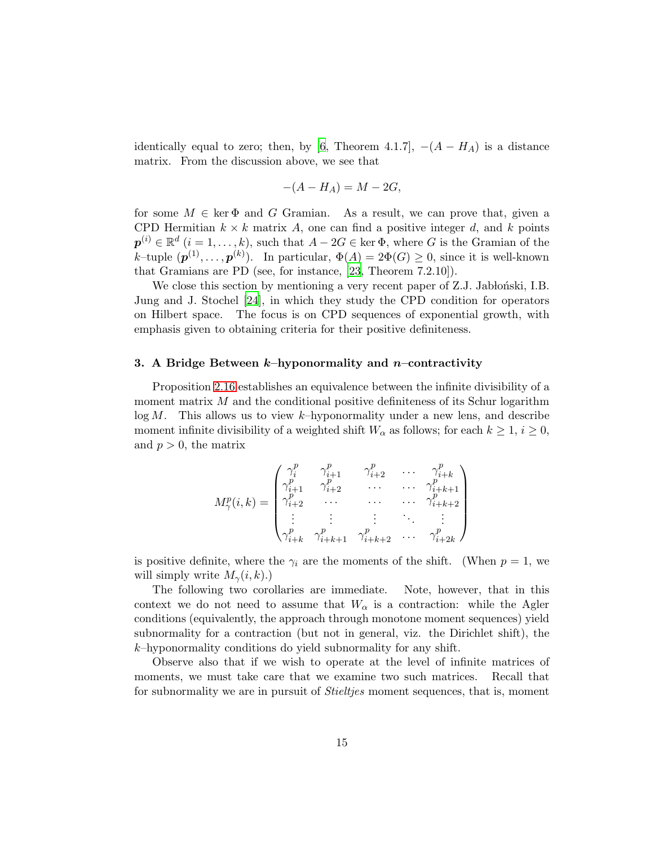identically equal to zero; then, by [\[6,](#page-25-12) Theorem 4.1.7],  $-(A - H_A)$  is a distance matrix. From the discussion above, we see that

$$
-(A - H_A) = M - 2G,
$$

for some  $M \in \text{ker } \Phi$  and G Gramian. As a result, we can prove that, given a CPD Hermitian  $k \times k$  matrix A, one can find a positive integer d, and k points  $\boldsymbol{p}^{(i)} \in \mathbb{R}^d$   $(i = 1, \ldots, k)$ , such that  $A - 2G \in \text{ker } \Phi$ , where G is the Gramian of the k–tuple  $(\boldsymbol{p}^{(1)}, \ldots, \boldsymbol{p}^{(k)})$ . In particular,  $\Phi(A) = 2\Phi(G) \geq 0$ , since it is well-known that Gramians are PD (see, for instance, [\[23,](#page-26-8) Theorem 7.2.10]).

We close this section by mentioning a very recent paper of Z.J. Jabbonski, I.B. Jung and J. Stochel [\[24](#page-26-9)], in which they study the CPD condition for operators on Hilbert space. The focus is on CPD sequences of exponential growth, with emphasis given to obtaining criteria for their positive definiteness.

#### <span id="page-14-0"></span>3. A Bridge Between  $k$ -hyponormality and n-contractivity

Proposition [2.16](#page-13-0) establishes an equivalence between the infinite divisibility of a moment matrix  $M$  and the conditional positive definiteness of its Schur logarithm  $log M$ . This allows us to view k-hyponormality under a new lens, and describe moment infinite divisibility of a weighted shift  $W_{\alpha}$  as follows; for each  $k \geq 1$ ,  $i \geq 0$ , and  $p > 0$ , the matrix

$$
M_{\gamma}^{p}(i,k) = \begin{pmatrix} \gamma_{i}^{p} & \gamma_{i+1}^{p} & \gamma_{i+2}^{p} & \cdots & \gamma_{i+k}^{p} \\ \gamma_{i+1}^{p} & \gamma_{i+2}^{p} & \cdots & \cdots & \gamma_{i+k+1}^{p} \\ \gamma_{i+2}^{p} & \cdots & \cdots & \cdots & \gamma_{i+k+2}^{p} \\ \vdots & \vdots & \vdots & \ddots & \vdots \\ \gamma_{i+k}^{p} & \gamma_{i+k+1}^{p} & \gamma_{i+k+2}^{p} & \cdots & \gamma_{i+2k}^{p} \end{pmatrix}
$$

is positive definite, where the  $\gamma_i$  are the moments of the shift. (When  $p=1$ , we will simply write  $M_{\gamma}(i,k)$ .)

The following two corollaries are immediate. Note, however, that in this context we do not need to assume that  $W_{\alpha}$  is a contraction: while the Agler conditions (equivalently, the approach through monotone moment sequences) yield subnormality for a contraction (but not in general, viz. the Dirichlet shift), the  $k$ –hyponormality conditions do yield subnormality for any shift.

Observe also that if we wish to operate at the level of infinite matrices of moments, we must take care that we examine two such matrices. Recall that for subnormality we are in pursuit of *Stieltjes* moment sequences, that is, moment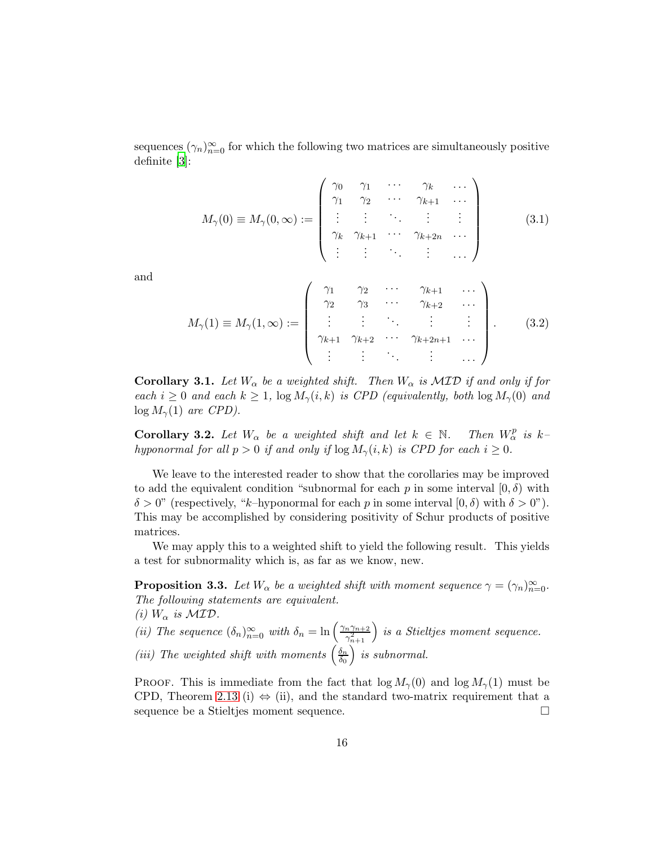sequences  $(\gamma_n)_{n=0}^{\infty}$  for which the following two matrices are simultaneously positive definite [\[3](#page-25-13)]:

$$
M_{\gamma}(0) \equiv M_{\gamma}(0,\infty) := \left(\begin{array}{cccccc}\gamma_0 & \gamma_1 & \cdots & \gamma_k & \cdots \\
\gamma_1 & \gamma_2 & \cdots & \gamma_{k+1} & \cdots \\
\vdots & \vdots & \ddots & \vdots & \vdots \\
\gamma_k & \gamma_{k+1} & \cdots & \gamma_{k+2n} & \cdots \\
\vdots & \vdots & \ddots & \vdots & \cdots\n\end{array}\right) (3.1)
$$

and

$$
M_{\gamma}(1) \equiv M_{\gamma}(1,\infty) := \begin{pmatrix} \gamma_1 & \gamma_2 & \cdots & \gamma_{k+1} & \cdots \\ \gamma_2 & \gamma_3 & \cdots & \gamma_{k+2} & \cdots \\ \vdots & \vdots & \ddots & \vdots & \vdots \\ \gamma_{k+1} & \gamma_{k+2} & \cdots & \gamma_{k+2n+1} & \cdots \\ \vdots & \vdots & \ddots & \vdots & \cdots \end{pmatrix} . \tag{3.2}
$$

**Corollary 3.1.** Let  $W_{\alpha}$  be a weighted shift. Then  $W_{\alpha}$  is  $\mathcal{MID}$  if and only if for each  $i \geq 0$  and each  $k \geq 1$ ,  $\log M_{\gamma}(i,k)$  is CPD (equivalently, both  $\log M_{\gamma}(0)$  and  $log M<sub>γ</sub>(1)$  are CPD).

<span id="page-15-1"></span>**Corollary 3.2.** Let  $W_{\alpha}$  be a weighted shift and let  $k \in \mathbb{N}$ . Then  $W_{\alpha}^{p}$  is khyponormal for all  $p > 0$  if and only if  $\log M_{\gamma}(i, k)$  is CPD for each  $i \geq 0$ .

We leave to the interested reader to show that the corollaries may be improved to add the equivalent condition "subnormal for each p in some interval  $[0, \delta)$  with  $\delta > 0$ " (respectively, "k-hyponormal for each p in some interval  $[0, \delta)$  with  $\delta > 0$ "). This may be accomplished by considering positivity of Schur products of positive matrices.

<span id="page-15-0"></span>We may apply this to a weighted shift to yield the following result. This yields a test for subnormality which is, as far as we know, new.

**Proposition 3.3.** Let  $W_{\alpha}$  be a weighted shift with moment sequence  $\gamma = (\gamma_n)_{n=0}^{\infty}$ . The following statements are equivalent.

(i)  $W_{\alpha}$  is  $\mathcal{MID}$ .

(ii) The sequence 
$$
(\delta_n)_{n=0}^{\infty}
$$
 with  $\delta_n = \ln\left(\frac{\gamma_n \gamma_{n+2}}{\gamma_{n+1}^2}\right)$  is a Stieltjes moment sequence.  
(iii) The weighted shift with moments  $\left(\frac{\delta_n}{\delta_0}\right)$  is subnormal.

PROOF. This is immediate from the fact that  $\log M_{\gamma}(0)$  and  $\log M_{\gamma}(1)$  must be CPD, Theorem [2.13](#page-12-1) (i)  $\Leftrightarrow$  (ii), and the standard two-matrix requirement that a sequence be a Stieltjes moment sequence. sequence be a Stieltjes moment sequence.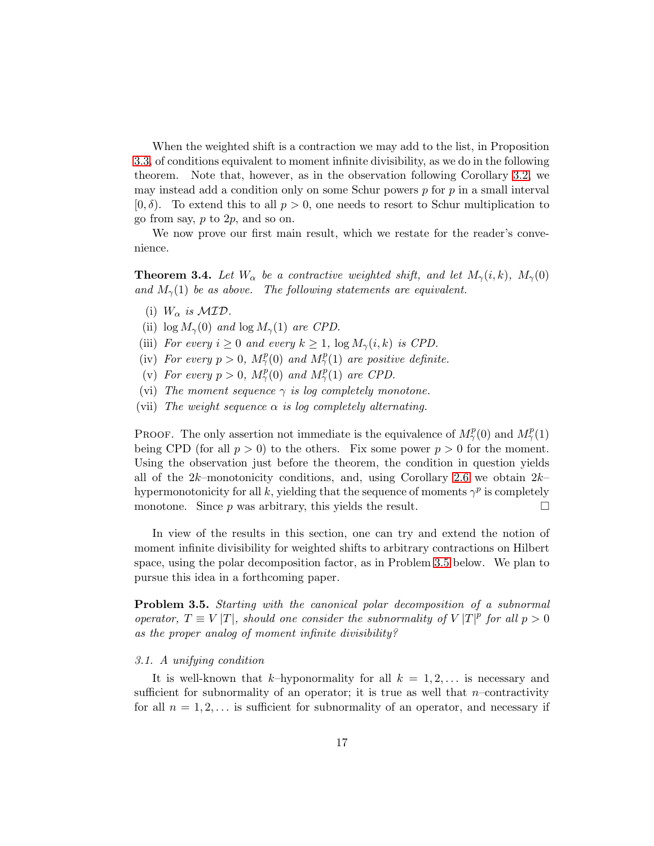When the weighted shift is a contraction we may add to the list, in Proposition [3.3,](#page-15-0) of conditions equivalent to moment infinite divisibility, as we do in the following theorem. Note that, however, as in the observation following Corollary [3.2,](#page-15-1) we may instead add a condition only on some Schur powers  $p$  for  $p$  in a small interval  $[0, \delta)$ . To extend this to all  $p > 0$ , one needs to resort to Schur multiplication to go from say, p to 2p, and so on.

We now prove our first main result, which we restate for the reader's convenience.

**Theorem 3.4.** Let  $W_{\alpha}$  be a contractive weighted shift, and let  $M_{\gamma}(i,k)$ ,  $M_{\gamma}(0)$ and  $M_{\gamma}(1)$  be as above. The following statements are equivalent.

- (i)  $W_{\alpha}$  is  $\mathcal{MID}$ .
- (ii)  $\log M_{\gamma}(0)$  and  $\log M_{\gamma}(1)$  are CPD.
- (iii) For every  $i \geq 0$  and every  $k \geq 1$ ,  $\log M_{\gamma}(i, k)$  is CPD.
- (iv) For every  $p > 0$ ,  $M_{\gamma}^p(0)$  and  $M_{\gamma}^p(1)$  are positive definite.
- (v) For every  $p > 0$ ,  $M_{\gamma}^{p}(0)$  and  $M_{\gamma}^{p}(1)$  are CPD.
- (vi) The moment sequence  $\gamma$  is log completely monotone.
- (vii) The weight sequence  $\alpha$  is log completely alternating.

PROOF. The only assertion not immediate is the equivalence of  $M_\gamma^p(0)$  and  $M_\gamma^p(1)$ being CPD (for all  $p > 0$ ) to the others. Fix some power  $p > 0$  for the moment. Using the observation just before the theorem, the condition in question yields all of the  $2k$ –monotonicity conditions, and, using Corollary [2.6](#page-9-1) we obtain  $2k$ – hypermonotonicity for all k, yielding that the sequence of moments  $\gamma^p$  is completely monotone. Since p was arbitrary, this yields the result.

In view of the results in this section, one can try and extend the notion of moment infinite divisibility for weighted shifts to arbitrary contractions on Hilbert space, using the polar decomposition factor, as in Problem [3.5](#page-16-1) below. We plan to pursue this idea in a forthcoming paper.

<span id="page-16-1"></span>Problem 3.5. Starting with the canonical polar decomposition of a subnormal operator,  $T \equiv V |T|$ , should one consider the subnormality of  $V |T|^p$  for all  $p > 0$ as the proper analog of moment infinite divisibility?

#### <span id="page-16-0"></span>3.1. A unifying condition

It is well-known that k–hyponormality for all  $k = 1, 2, \ldots$  is necessary and sufficient for subnormality of an operator; it is true as well that  $n$ -contractivity for all  $n = 1, 2, \ldots$  is sufficient for subnormality of an operator, and necessary if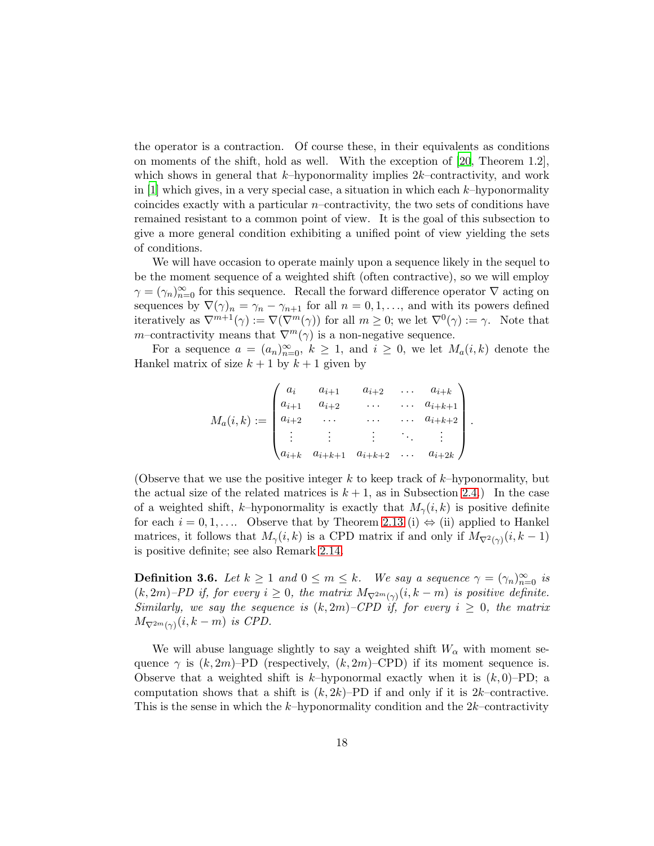the operator is a contraction. Of course these, in their equivalents as conditions on moments of the shift, hold as well. With the exception of [\[20](#page-26-0), Theorem 1.2], which shows in general that  $k$ -hyponormality implies  $2k$ -contractivity, and work in  $[1]$  which gives, in a very special case, a situation in which each k–hyponormality coincides exactly with a particular  $n$ –contractivity, the two sets of conditions have remained resistant to a common point of view. It is the goal of this subsection to give a more general condition exhibiting a unified point of view yielding the sets of conditions.

We will have occasion to operate mainly upon a sequence likely in the sequel to be the moment sequence of a weighted shift (often contractive), so we will employ  $\gamma = (\gamma_n)_{n=0}^{\infty}$  for this sequence. Recall the forward difference operator  $\nabla$  acting on sequences by  $\nabla(\gamma)_n = \gamma_n - \gamma_{n+1}$  for all  $n = 0, 1, \ldots$ , and with its powers defined iteratively as  $\nabla^{m+1}(\gamma) := \nabla(\nabla^m(\gamma))$  for all  $m \geq 0$ ; we let  $\nabla^0(\gamma) := \gamma$ . Note that m–contractivity means that  $\nabla^{m}(\gamma)$  is a non-negative sequence.

For a sequence  $a = (a_n)_{n=0}^{\infty}$ ,  $k \ge 1$ , and  $i \ge 0$ , we let  $M_a(i,k)$  denote the Hankel matrix of size  $k + 1$  by  $k + 1$  given by

$$
M_a(i,k) := \begin{pmatrix} a_i & a_{i+1} & a_{i+2} & \dots & a_{i+k} \\ a_{i+1} & a_{i+2} & \dots & a_{i+k+1} \\ a_{i+2} & \dots & \dots & a_{i+k+2} \\ \vdots & \vdots & \vdots & \ddots & \vdots \\ a_{i+k} & a_{i+k+1} & a_{i+k+2} & \dots & a_{i+2k} \end{pmatrix}
$$

.

(Observe that we use the positive integer k to keep track of  $k$ –hyponormality, but the actual size of the related matrices is  $k + 1$ , as in Subsection [2.4.](#page-6-0)) In the case of a weighted shift, k–hyponormality is exactly that  $M_{\gamma}(i,k)$  is positive definite for each  $i = 0, 1, \ldots$  Observe that by Theorem [2.13](#page-12-1) (i)  $\Leftrightarrow$  (ii) applied to Hankel matrices, it follows that  $M_{\gamma}(i,k)$  is a CPD matrix if and only if  $M_{\nabla^2(\gamma)}(i,k-1)$ is positive definite; see also Remark [2.14.](#page-12-2)

<span id="page-17-0"></span>**Definition 3.6.** Let  $k \geq 1$  and  $0 \leq m \leq k$ . We say a sequence  $\gamma = (\gamma_n)_{n=0}^{\infty}$  is  $(k, 2m)$ –PD if, for every  $i \geq 0$ , the matrix  $M_{\nabla^{2m}(\gamma)}(i, k-m)$  is positive definite. Similarly, we say the sequence is  $(k, 2m)$ –CPD if, for every  $i \geq 0$ , the matrix  $M_{\nabla^{2m}(\gamma)}(i,k-m)$  is CPD.

We will abuse language slightly to say a weighted shift  $W_{\alpha}$  with moment sequence  $\gamma$  is  $(k, 2m)$ –PD (respectively,  $(k, 2m)$ –CPD) if its moment sequence is. Observe that a weighted shift is k–hyponormal exactly when it is  $(k, 0)$ –PD; a computation shows that a shift is  $(k, 2k)$ –PD if and only if it is  $2k$ –contractive. This is the sense in which the k–hyponormality condition and the  $2k$ –contractivity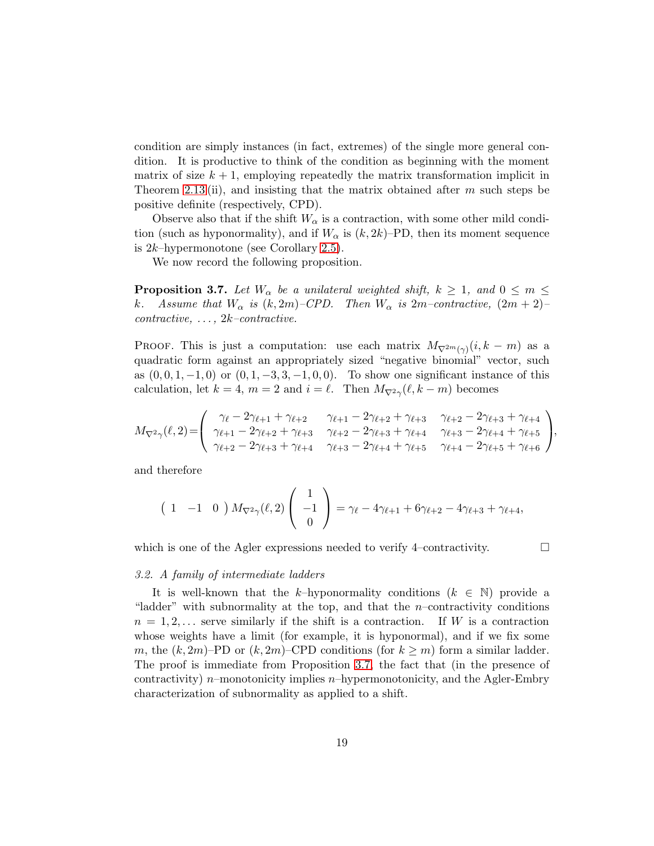condition are simply instances (in fact, extremes) of the single more general condition. It is productive to think of the condition as beginning with the moment matrix of size  $k + 1$ , employing repeatedly the matrix transformation implicit in Theorem [2.13](#page-12-1) (ii), and insisting that the matrix obtained after  $m$  such steps be positive definite (respectively, CPD).

Observe also that if the shift  $W_{\alpha}$  is a contraction, with some other mild condition (such as hyponormality), and if  $W_{\alpha}$  is  $(k, 2k)$ –PD, then its moment sequence is  $2k$ -hypermonotone (see Corollary [2.5\)](#page-9-2).

<span id="page-18-1"></span>We now record the following proposition.

**Proposition 3.7.** Let  $W_{\alpha}$  be a unilateral weighted shift,  $k \geq 1$ , and  $0 \leq m \leq k$ .<br> Assume that  $W_{\alpha}$  is  $(k, 2m)$ –CPD. Then  $W_{\alpha}$  is  $2m$ –contractive.  $(2m + 2)$ – Assume that  $W_{\alpha}$  is  $(k, 2m)$ –CPD. Then  $W_{\alpha}$  is  $2m$ –contractive,  $(2m + 2)$ –  $contractive, \ldots, 2k-contractive.$ 

PROOF. This is just a computation: use each matrix  $M_{\nabla^{2m}(\gamma)}(i, k - m)$  as a quadratic form against an appropriately sized "negative binomial" vector, such as  $(0, 0, 1, -1, 0)$  or  $(0, 1, -3, 3, -1, 0, 0)$ . To show one significant instance of this calculation, let  $k = 4$ ,  $m = 2$  and  $i = \ell$ . Then  $M_{\nabla^2 \gamma}(\ell, k - m)$  becomes

$$
M_{\nabla^2 \gamma}(\ell,2) = \begin{pmatrix} \gamma_{\ell} - 2\gamma_{\ell+1} + \gamma_{\ell+2} & \gamma_{\ell+1} - 2\gamma_{\ell+2} + \gamma_{\ell+3} & \gamma_{\ell+2} - 2\gamma_{\ell+3} + \gamma_{\ell+4} \\ \gamma_{\ell+1} - 2\gamma_{\ell+2} + \gamma_{\ell+3} & \gamma_{\ell+2} - 2\gamma_{\ell+3} + \gamma_{\ell+4} & \gamma_{\ell+3} - 2\gamma_{\ell+4} + \gamma_{\ell+5} \\ \gamma_{\ell+2} - 2\gamma_{\ell+3} + \gamma_{\ell+4} & \gamma_{\ell+3} - 2\gamma_{\ell+4} + \gamma_{\ell+5} & \gamma_{\ell+4} - 2\gamma_{\ell+5} + \gamma_{\ell+6} \end{pmatrix},
$$

and therefore

$$
\begin{pmatrix} 1 & -1 & 0 \end{pmatrix} M_{\nabla^2 \gamma}(\ell, 2) \begin{pmatrix} 1 \\ -1 \\ 0 \end{pmatrix} = \gamma_{\ell} - 4\gamma_{\ell+1} + 6\gamma_{\ell+2} - 4\gamma_{\ell+3} + \gamma_{\ell+4},
$$

<span id="page-18-0"></span>which is one of the Agler expressions needed to verify 4–contractivity.  $\Box$ 

#### 3.2. A family of intermediate ladders

It is well-known that the k–hyponormality conditions  $(k \in \mathbb{N})$  provide a "ladder" with subnormality at the top, and that the  $n$ -contractivity conditions  $n = 1, 2, \ldots$  serve similarly if the shift is a contraction. If W is a contraction whose weights have a limit (for example, it is hyponormal), and if we fix some m, the  $(k, 2m)$ –PD or  $(k, 2m)$ –CPD conditions (for  $k \ge m$ ) form a similar ladder. The proof is immediate from Proposition [3.7,](#page-18-1) the fact that (in the presence of contractivity) n–monotonicity implies n–hypermonotonicity, and the Agler-Embry characterization of subnormality as applied to a shift.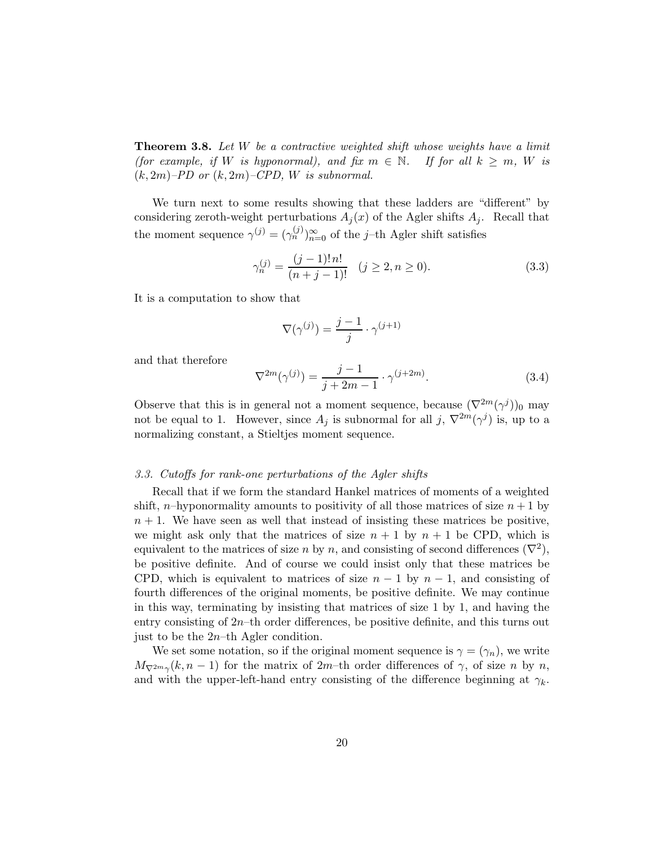**Theorem 3.8.** Let  $W$  be a contractive weighted shift whose weights have a limit (for example, if W is hyponormal), and fix  $m \in \mathbb{N}$ . If for all  $k \geq m$ , W is  $(k, 2m)$ –PD or  $(k, 2m)$ –CPD, W is subnormal.

We turn next to some results showing that these ladders are "different" by considering zeroth-weight perturbations  $A_i(x)$  of the Agler shifts  $A_i$ . Recall that the moment sequence  $\gamma^{(j)} = (\gamma_n^{(j)})_{n=0}^{\infty}$  of the j-th Agler shift satisfies

$$
\gamma_n^{(j)} = \frac{(j-1)! \, n!}{(n+j-1)!} \quad (j \ge 2, n \ge 0). \tag{3.3}
$$

It is a computation to show that

$$
\nabla(\gamma^{(j)}) = \frac{j-1}{j} \cdot \gamma^{(j+1)}
$$

and that therefore

<span id="page-19-1"></span>
$$
\nabla^{2m}(\gamma^{(j)}) = \frac{j-1}{j+2m-1} \cdot \gamma^{(j+2m)}.
$$
 (3.4)

Observe that this is in general not a moment sequence, because  $(\nabla^{2m}(\gamma^j))_0$  may not be equal to 1. However, since  $A_j$  is subnormal for all  $j$ ,  $\nabla^{2m}(\gamma^j)$  is, up to a normalizing constant, a Stieltjes moment sequence.

#### <span id="page-19-0"></span>3.3. Cutoffs for rank-one perturbations of the Agler shifts

Recall that if we form the standard Hankel matrices of moments of a weighted shift, n–hyponormality amounts to positivity of all those matrices of size  $n + 1$  by  $n + 1$ . We have seen as well that instead of insisting these matrices be positive, we might ask only that the matrices of size  $n + 1$  by  $n + 1$  be CPD, which is equivalent to the matrices of size n by n, and consisting of second differences  $(\nabla^2)$ , be positive definite. And of course we could insist only that these matrices be CPD, which is equivalent to matrices of size  $n-1$  by  $n-1$ , and consisting of fourth differences of the original moments, be positive definite. We may continue in this way, terminating by insisting that matrices of size 1 by 1, and having the entry consisting of  $2n$ –th order differences, be positive definite, and this turns out just to be the  $2n$ –th Agler condition.

We set some notation, so if the original moment sequence is  $\gamma = (\gamma_n)$ , we write  $M_{\nabla^{2m}\gamma}(k, n-1)$  for the matrix of 2m–th order differences of  $\gamma$ , of size n by n, and with the upper-left-hand entry consisting of the difference beginning at  $\gamma_k$ .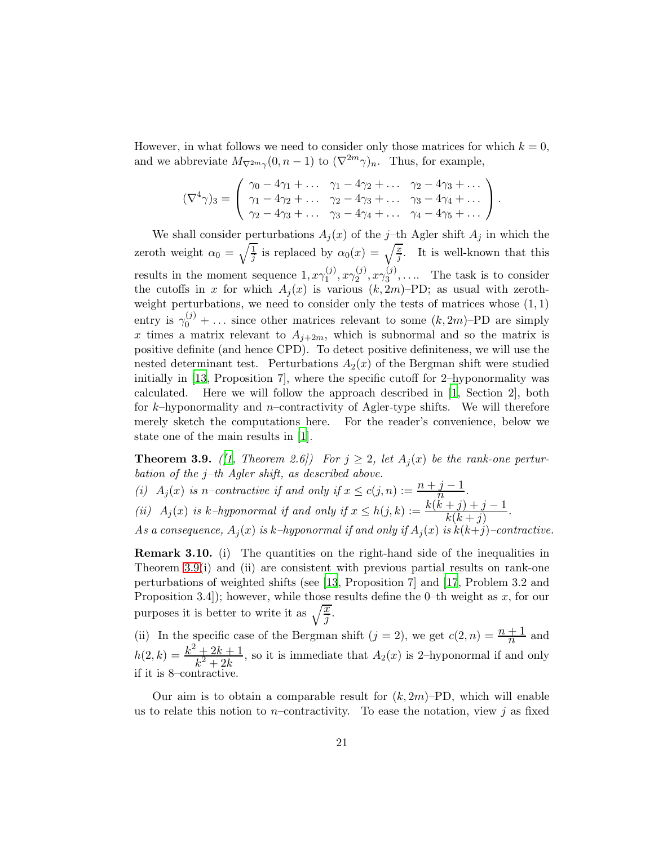However, in what follows we need to consider only those matrices for which  $k = 0$ , and we abbreviate  $M_{\nabla^{2m}\gamma}(0, n-1)$  to  $(\nabla^{2m}\gamma)_n$ . Thus, for example,

$$
(\nabla^4 \gamma)_3 = \begin{pmatrix} \gamma_0 - 4\gamma_1 + \dots & \gamma_1 - 4\gamma_2 + \dots & \gamma_2 - 4\gamma_3 + \dots \\ \gamma_1 - 4\gamma_2 + \dots & \gamma_2 - 4\gamma_3 + \dots & \gamma_3 - 4\gamma_4 + \dots \\ \gamma_2 - 4\gamma_3 + \dots & \gamma_3 - 4\gamma_4 + \dots & \gamma_4 - 4\gamma_5 + \dots \end{pmatrix}.
$$

We shall consider perturbations  $A_j(x)$  of the j-th Agler shift  $A_j$  in which the zeroth weight  $\alpha_0 = \sqrt{\frac{1}{j}}$  is replaced by  $\alpha_0(x) = \sqrt{\frac{x}{j}}$ . It is well-known that this results in the moment sequence  $1, x \gamma_1^{(j)}$  $x\gamma_1^{(j)},x\gamma_2^{(j)}$  $\mathbf{z}^{(j)}, \mathbf{z}\gamma_3^{(j)}$  $3^{(1)}$ ,.... The task is to consider the cutoffs in x for which  $A_i(x)$  is various  $(k, 2m)$ –PD; as usual with zerothweight perturbations, we need to consider only the tests of matrices whose  $(1,1)$ entry is  $\gamma_0^{(j)} + \ldots$  since other matrices relevant to some  $(k, 2m)$ –PD are simply x times a matrix relevant to  $A_{j+2m}$ , which is subnormal and so the matrix is positive definite (and hence CPD). To detect positive definiteness, we will use the nested determinant test. Perturbations  $A_2(x)$  of the Bergman shift were studied initially in [\[13](#page-25-9), Proposition 7], where the specific cutoff for 2–hyponormality was calculated. Here we will follow the approach described in [\[1](#page-25-14), Section 2], both for k–hyponormality and n–contractivity of Agler-type shifts. We will therefore merely sketch the computations here. For the reader's convenience, below we state one of the main results in [\[1\]](#page-25-14).

<span id="page-20-0"></span>**Theorem 3.9.** ([\[1](#page-25-14), Theorem 2.6]) For  $j \geq 2$ , let  $A_j(x)$  be the rank-one perturbation of the  $j$ -th Agler shift, as described above.

(i)  $A_j(x)$  is n–contractive if and only if  $x \leq c(j, n) := \frac{n+j-1}{n}$ . (ii)  $A_j(x)$  is k-hyponormal if and only if  $x \le h(j,k) := \frac{k(k+j)+j-1}{k(k+j)}$ . As a consequence,  $A_i(x)$  is k–hyponormal if and only if  $A_i(x)$  is  $k(k+j)$ –contractive.

**Remark 3.10.** (i) The quantities on the right-hand side of the inequalities in Theorem [3.9\(](#page-20-0)i) and (ii) are consistent with previous partial results on rank-one perturbations of weighted shifts (see [\[13](#page-25-9), Proposition 7] and [\[17](#page-26-6), Problem 3.2 and Proposition 3.4]); however, while those results define the 0–th weight as  $x$ , for our purposes it is better to write it as  $\sqrt{\frac{x}{j}}$ .

(ii) In the specific case of the Bergman shift  $(j = 2)$ , we get  $c(2, n) = \frac{n+1}{n}$  and  $h(2,k) = \frac{k^2 + 2k + 1}{k^2 + 2k}$  $\frac{+2\kappa+1}{k^2+2k}$ , so it is immediate that  $A_2(x)$  is 2-hyponormal if and only if it is 8–contractive.

Our aim is to obtain a comparable result for  $(k, 2m)$ –PD, which will enable us to relate this notion to *n*–contractivity. To ease the notation, view j as fixed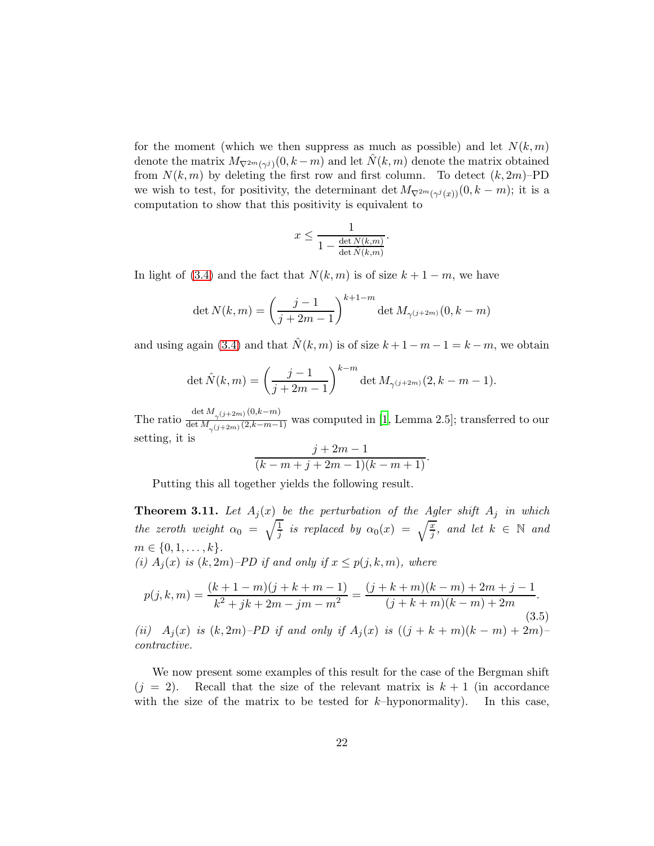for the moment (which we then suppress as much as possible) and let  $N(k, m)$ denote the matrix  $M_{\nabla^{2m}(\gamma^j)}(0, k-m)$  and let  $\hat{N}(k,m)$  denote the matrix obtained from  $N(k, m)$  by deleting the first row and first column. To detect  $(k, 2m)$ –PD we wish to test, for positivity, the determinant det  $M_{\nabla^{2m}(\gamma^j(x))}(0, k-m)$ ; it is a computation to show that this positivity is equivalent to

$$
x \le \frac{1}{1 - \frac{\det N(k,m)}{\det \hat{N}(k,m)}}.
$$

In light of [\(3.4\)](#page-19-1) and the fact that  $N(k, m)$  is of size  $k + 1 - m$ , we have

$$
\det N(k,m) = \left(\frac{j-1}{j+2m-1}\right)^{k+1-m} \det M_{\gamma(j+2m)}(0, k-m)
$$

and using again [\(3.4\)](#page-19-1) and that  $\hat{N}(k, m)$  is of size  $k + 1 - m - 1 = k - m$ , we obtain

$$
\det \hat{N}(k,m) = \left(\frac{j-1}{j+2m-1}\right)^{k-m} \det M_{\gamma(j+2m)}(2, k-m-1).
$$

The ratio  $\frac{\det M_{\gamma(j+2m)}(0,k-m)}{\det M_{(j+2m)}(2,k-m-1)}$  $\frac{\gamma^{(j+2m)}(1+n-1)}{\gamma^{(j+2m)}(2,k-m-1)}$  was computed in [\[1](#page-25-14), Lemma 2.5]; transferred to our setting, it is

$$
\frac{j+2m-1}{(k-m+j+2m-1)(k-m+1)}.
$$

<span id="page-21-0"></span>Putting this all together yields the following result.

**Theorem 3.11.** Let  $A_j(x)$  be the perturbation of the Agler shift  $A_j$  in which the zeroth weight  $\alpha_0 = \sqrt{\frac{1}{j}}$  is replaced by  $\alpha_0(x) = \sqrt{\frac{x}{j}}$ , and let  $k \in \mathbb{N}$  and  $m \in \{0, 1, \ldots, k\}.$ (i)  $A_i(x)$  is  $(k, 2m)$ –PD if and only if  $x \leq p(j, k, m)$ , where

$$
p(j,k,m) = \frac{(k+1-m)(j+k+m-1)}{k^2+jk+2m-jm-m^2} = \frac{(j+k+m)(k-m)+2m+j-1}{(j+k+m)(k-m)+2m}.
$$
\n(3.5)

(ii)  $A_i(x)$  is  $(k, 2m)$ –PD if and only if  $A_i(x)$  is  $((j + k + m)(k - m) + 2m)$ – contractive.

We now present some examples of this result for the case of the Bergman shift  $(j = 2)$ . Recall that the size of the relevant matrix is  $k + 1$  (in accordance with the size of the matrix to be tested for  $k$ -hyponormality). In this case,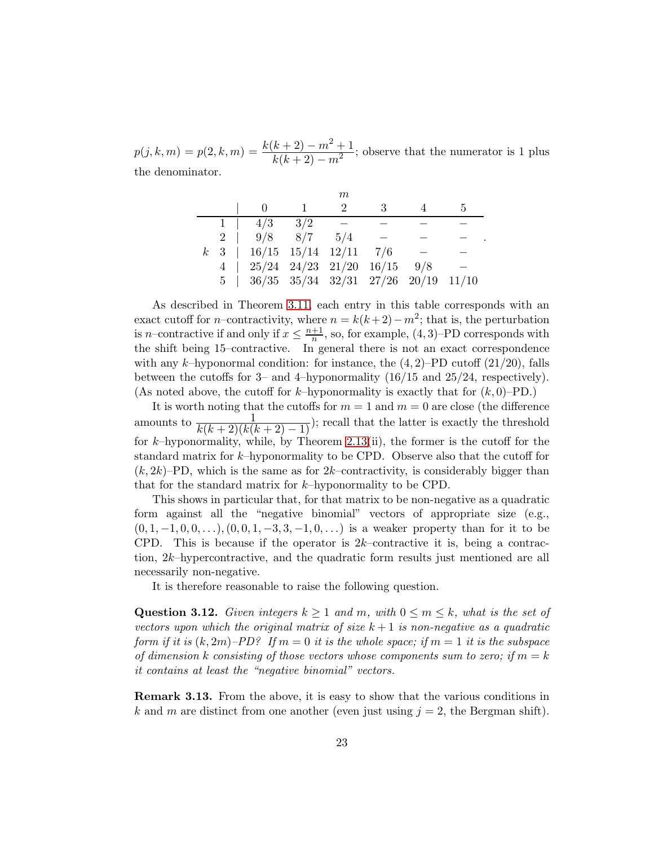$p(j, k, m) = p(2, k, m) = \frac{k(k+2) - m^2 + 1}{k(k+2) - m^2}$  $\frac{k+2}{k(k+2)-m^2}$ ; observe that the numerator is 1 plus the denominator.

|           |                                                       |     | $m\,$                       |    |     |   |
|-----------|-------------------------------------------------------|-----|-----------------------------|----|-----|---|
|           |                                                       |     | $\mathcal{D}_{\mathcal{L}}$ | -3 |     | 5 |
|           | 4/3                                                   | 3/2 |                             |    |     |   |
| $2 \perp$ | $9/8$ 8/7                                             |     | 5/4                         |    |     |   |
|           | $k$ 3   16/15 15/14 12/11 7/6                         |     |                             |    |     |   |
|           | $4 \mid 25/24 \mid 24/23 \mid 21/20 \mid 16/15$       |     |                             |    | 9/8 |   |
|           | $5$   $36/35$ $35/34$ $32/31$ $27/26$ $20/19$ $11/10$ |     |                             |    |     |   |

.

As described in Theorem [3.11,](#page-21-0) each entry in this table corresponds with an exact cutoff for *n*–contractivity, where  $n = k(k+2) - m^2$ ; that is, the perturbation is *n*–contractive if and only if  $x \leq \frac{n+1}{n}$  $\frac{+1}{n}$ , so, for example,  $(4,3)$ –PD corresponds with the shift being 15–contractive. In general there is not an exact correspondence with any k–hyponormal condition: for instance, the  $(4, 2)$ –PD cutoff  $(21/20)$ , falls between the cutoffs for 3– and 4–hyponormality (16/15 and 25/24, respectively). (As noted above, the cutoff for k–hyponormality is exactly that for  $(k, 0)$ –PD.)

It is worth noting that the cutoffs for  $m = 1$  and  $m = 0$  are close (the difference amounts to  $\frac{1}{k(k+2)(k(k+2)-1)}$ ; recall that the latter is exactly the threshold for  $k$ –hyponormality, while, by Theorem [2.13\(](#page-12-1)ii), the former is the cutoff for the standard matrix for k–hyponormality to be CPD. Observe also that the cutoff for  $(k, 2k)$ –PD, which is the same as for  $2k$ –contractivity, is considerably bigger than that for the standard matrix for k–hyponormality to be CPD.

This shows in particular that, for that matrix to be non-negative as a quadratic form against all the "negative binomial" vectors of appropriate size (e.g.,  $(0, 1, -1, 0, 0, \ldots), (0, 0, 1, -3, 3, -1, 0, \ldots)$  is a weaker property than for it to be CPD. This is because if the operator is  $2k$ –contractive it is, being a contraction, 2k–hypercontractive, and the quadratic form results just mentioned are all necessarily non-negative.

It is therefore reasonable to raise the following question.

**Question 3.12.** Given integers  $k \geq 1$  and m, with  $0 \leq m \leq k$ , what is the set of vectors upon which the original matrix of size  $k+1$  is non-negative as a quadratic form if it is  $(k, 2m)$ –PD? If  $m = 0$  it is the whole space; if  $m = 1$  it is the subspace of dimension k consisting of those vectors whose components sum to zero; if  $m = k$ it contains at least the "negative binomial" vectors.

Remark 3.13. From the above, it is easy to show that the various conditions in k and m are distinct from one another (even just using  $j = 2$ , the Bergman shift).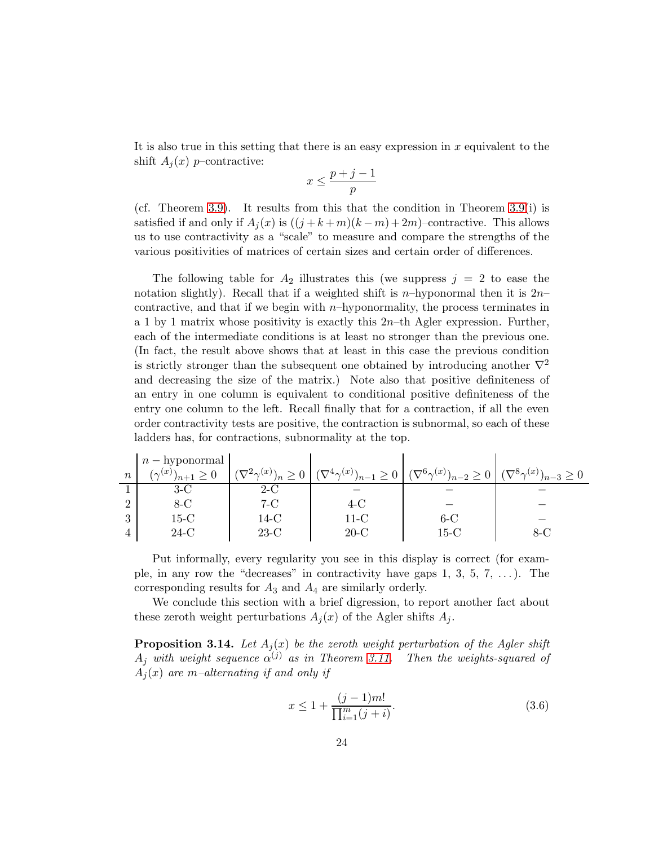It is also true in this setting that there is an easy expression in  $x$  equivalent to the shift  $A_i(x)$  p–contractive:

$$
x \le \frac{p+j-1}{p}
$$

(cf. Theorem [3.9\)](#page-20-0). It results from this that the condition in Theorem [3.9\(](#page-20-0)i) is satisfied if and only if  $A_i(x)$  is  $((j + k + m)(k - m) + 2m)$ –contractive. This allows us to use contractivity as a "scale" to measure and compare the strengths of the various positivities of matrices of certain sizes and certain order of differences.

The following table for  $A_2$  illustrates this (we suppress  $j = 2$  to ease the notation slightly). Recall that if a weighted shift is  $n$ -hyponormal then it is  $2n$ contractive, and that if we begin with  $n$ –hyponormality, the process terminates in a 1 by 1 matrix whose positivity is exactly this  $2n$ –th Agler expression. Further, each of the intermediate conditions is at least no stronger than the previous one. (In fact, the result above shows that at least in this case the previous condition is strictly stronger than the subsequent one obtained by introducing another  $\nabla^2$ and decreasing the size of the matrix.) Note also that positive definiteness of an entry in one column is equivalent to conditional positive definiteness of the entry one column to the left. Recall finally that for a contraction, if all the even order contractivity tests are positive, the contraction is subnormal, so each of these ladders has, for contractions, subnormality at the top.

|                  | $\mathbf{p}$ $n$ $-$ hyponormal $\mathbf{p}$ |                                    |                                        |                                                                                          |     |
|------------------|----------------------------------------------|------------------------------------|----------------------------------------|------------------------------------------------------------------------------------------|-----|
| $\boldsymbol{n}$ | $(\gamma(x))$<br>$\sqrt{n+1}$                | $(\nabla^2 \gamma^{(x)})_n \geq 0$ | $(\nabla^4 \gamma^{(x)})_{n-1} \geq 0$ | $\left( (\nabla^6 \gamma^{(x)})_{n-2} \ge 0 \right) (\nabla^8 \gamma^{(x)})_{n-3} \ge 0$ |     |
|                  |                                              | $2-C$                              |                                        |                                                                                          |     |
| റ                | 8-C                                          | 7-C                                | 4-C                                    |                                                                                          |     |
| 3                | $15-C$                                       | 14-C                               | $11-C$                                 | $6 - C$                                                                                  |     |
| 4                | $24-C$                                       | $23-C$                             | $20-C$                                 | $15\hbox{-}\mathrm{C}$                                                                   | 8-C |

Put informally, every regularity you see in this display is correct (for example, in any row the "decreases" in contractivity have gaps  $1, 3, 5, 7, \ldots$ ). The corresponding results for  $A_3$  and  $A_4$  are similarly orderly.

We conclude this section with a brief digression, to report another fact about these zeroth weight perturbations  $A_i(x)$  of the Agler shifts  $A_i$ .

**Proposition 3.14.** Let  $A_i(x)$  be the zeroth weight perturbation of the Agler shift  $A_j$  with weight sequence  $\alpha^{(j)}$  as in Theorem [3.11.](#page-21-0) Then the weights-squared of  $A_i(x)$  are m-alternating if and only if

<span id="page-23-0"></span>
$$
x \le 1 + \frac{(j-1)m!}{\prod_{i=1}^{m} (j+i)}.
$$
\n(3.6)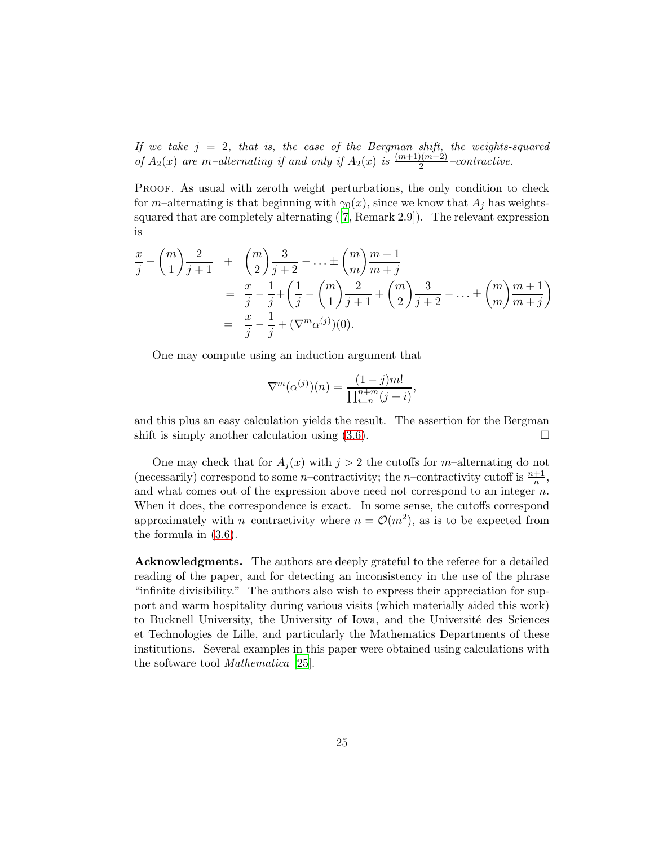If we take  $j = 2$ , that is, the case of the Bergman shift, the weights-squared of  $A_2(x)$  are m-alternating if and only if  $A_2(x)$  is  $\frac{(m+1)(m+2)}{2}$ -contractive.

Proof. As usual with zeroth weight perturbations, the only condition to check for m–alternating is that beginning with  $\gamma_0(x)$ , since we know that  $A_i$  has weightssquared that are completely alternating ([\[7](#page-25-2), Remark 2.9]). The relevant expression is

$$
\frac{x}{j} - {m \choose 1} \frac{2}{j+1} + {m \choose 2} \frac{3}{j+2} - \dots \pm {m \choose m} \frac{m+1}{m+j}
$$
  
=  $\frac{x}{j} - \frac{1}{j} + \left(\frac{1}{j} - {m \choose 1} \frac{2}{j+1} + {m \choose 2} \frac{3}{j+2} - \dots \pm {m \choose m} \frac{m+1}{m+j}\right)$   
=  $\frac{x}{j} - \frac{1}{j} + (\nabla^m \alpha^{(j)})(0).$ 

One may compute using an induction argument that

$$
\nabla^{m}(\alpha^{(j)})(n) = \frac{(1-j)m!}{\prod_{i=n}^{n+m}(j+i)},
$$

and this plus an easy calculation yields the result. The assertion for the Bergman shift is simply another calculation using  $(3.6)$ .

One may check that for  $A_j(x)$  with  $j > 2$  the cutoffs for m-alternating do not (necessarily) correspond to some *n*-contractivity; the *n*-contractivity cutoff is  $\frac{n+1}{n}$ , and what comes out of the expression above need not correspond to an integer  $n$ . When it does, the correspondence is exact. In some sense, the cutoffs correspond approximately with *n*-contractivity where  $n = \mathcal{O}(m^2)$ , as is to be expected from the formula in [\(3.6\)](#page-23-0).

Acknowledgments. The authors are deeply grateful to the referee for a detailed reading of the paper, and for detecting an inconsistency in the use of the phrase "infinite divisibility." The authors also wish to express their appreciation for support and warm hospitality during various visits (which materially aided this work) to Bucknell University, the University of Iowa, and the Université des Sciences et Technologies de Lille, and particularly the Mathematics Departments of these institutions. Several examples in this paper were obtained using calculations with the software tool Mathematica [\[25\]](#page-26-1).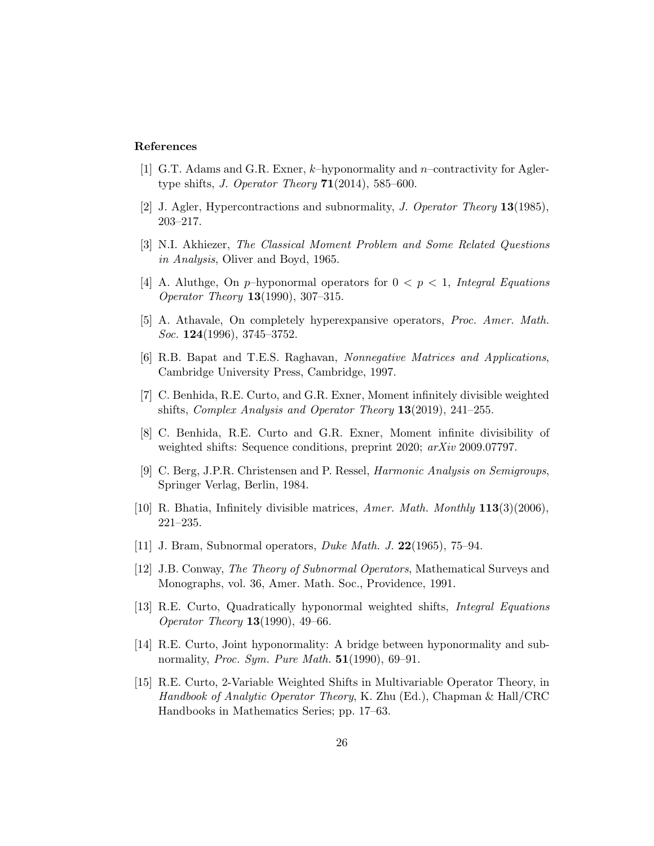# References

- <span id="page-25-14"></span>[1] G.T. Adams and G.R. Exner, k–hyponormality and n–contractivity for Aglertype shifts, J. Operator Theory  $71(2014)$ , 585–600.
- <span id="page-25-4"></span>[2] J. Agler, Hypercontractions and subnormality, J. Operator Theory 13(1985), 203–217.
- <span id="page-25-13"></span>[3] N.I. Akhiezer, The Classical Moment Problem and Some Related Questions in Analysis, Oliver and Boyd, 1965.
- <span id="page-25-1"></span>[4] A. Aluthge, On p-hyponormal operators for  $0 < p < 1$ , Integral Equations Operator Theory 13(1990), 307–315.
- <span id="page-25-6"></span>[5] A. Athavale, On completely hyperexpansive operators, Proc. Amer. Math. Soc. **124**(1996), 3745-3752.
- <span id="page-25-12"></span>[6] R.B. Bapat and T.E.S. Raghavan, Nonnegative Matrices and Applications, Cambridge University Press, Cambridge, 1997.
- <span id="page-25-2"></span>[7] C. Benhida, R.E. Curto, and G.R. Exner, Moment infinitely divisible weighted shifts, Complex Analysis and Operator Theory 13(2019), 241–255.
- <span id="page-25-3"></span>[8] C. Benhida, R.E. Curto and G.R. Exner, Moment infinite divisibility of weighted shifts: Sequence conditions, preprint 2020;  $arXiv$  2009.07797.
- <span id="page-25-10"></span>[9] C. Berg, J.P.R. Christensen and P. Ressel, Harmonic Analysis on Semigroups, Springer Verlag, Berlin, 1984.
- <span id="page-25-11"></span>[10] R. Bhatia, Infinitely divisible matrices, *Amer. Math. Monthly*  $113(3)(2006)$ , 221–235.
- <span id="page-25-8"></span>[11] J. Bram, Subnormal operators, Duke Math. J. 22(1965), 75–94.
- <span id="page-25-0"></span>[12] J.B. Conway, The Theory of Subnormal Operators, Mathematical Surveys and Monographs, vol. 36, Amer. Math. Soc., Providence, 1991.
- <span id="page-25-9"></span>[13] R.E. Curto, Quadratically hyponormal weighted shifts, Integral Equations Operator Theory 13(1990), 49–66.
- <span id="page-25-7"></span>[14] R.E. Curto, Joint hyponormality: A bridge between hyponormality and subnormality, Proc. Sym. Pure Math.  $51(1990)$ , 69–91.
- <span id="page-25-5"></span>[15] R.E. Curto, 2-Variable Weighted Shifts in Multivariable Operator Theory, in Handbook of Analytic Operator Theory, K. Zhu (Ed.), Chapman & Hall/CRC Handbooks in Mathematics Series; pp. 17–63.